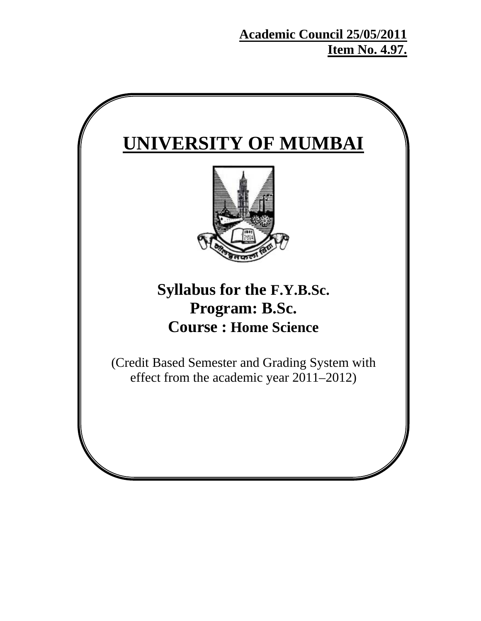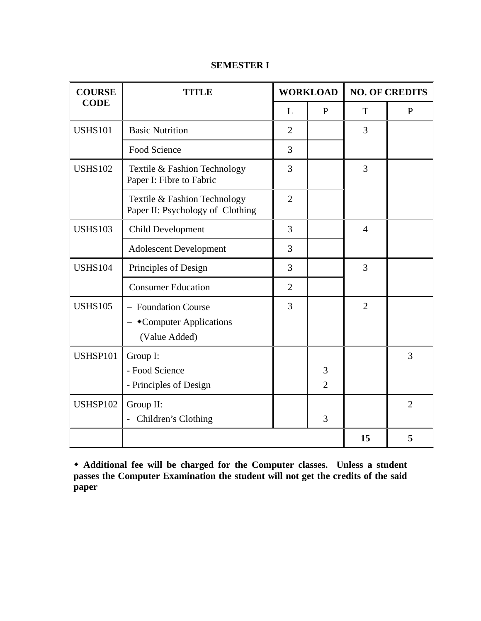| <b>COURSE</b>   | <b>TITLE</b>                                                     |                | <b>WORKLOAD</b>     |                | <b>NO. OF CREDITS</b> |
|-----------------|------------------------------------------------------------------|----------------|---------------------|----------------|-----------------------|
| <b>CODE</b>     |                                                                  | L              | P                   | T              | $\mathbf{P}$          |
| <b>USHS101</b>  | <b>Basic Nutrition</b>                                           | $\overline{2}$ |                     | 3              |                       |
|                 | Food Science                                                     | 3              |                     |                |                       |
| <b>USHS102</b>  | Textile & Fashion Technology<br>Paper I: Fibre to Fabric         | $\overline{3}$ |                     | 3              |                       |
|                 | Textile & Fashion Technology<br>Paper II: Psychology of Clothing | $\overline{2}$ |                     |                |                       |
| <b>USHS103</b>  | <b>Child Development</b>                                         | 3              |                     | $\overline{4}$ |                       |
|                 | <b>Adolescent Development</b>                                    | 3              |                     |                |                       |
| <b>USHS104</b>  | Principles of Design                                             | 3              |                     | 3              |                       |
|                 | <b>Consumer Education</b>                                        | $\overline{2}$ |                     |                |                       |
| <b>USHS105</b>  | - Foundation Course<br>•Computer Applications<br>(Value Added)   | $\overline{3}$ |                     | $\overline{2}$ |                       |
| USHSP101        | Group I:<br>- Food Science<br>- Principles of Design             |                | 3<br>$\overline{2}$ |                | 3                     |
| <b>USHSP102</b> | Group II:<br>- Children's Clothing                               |                | 3                   |                | $\overline{2}$        |
|                 |                                                                  |                |                     | 15             | 5                     |

## **SEMESTER I**

 **Additional fee will be charged for the Computer classes. Unless a student passes the Computer Examination the student will not get the credits of the said paper**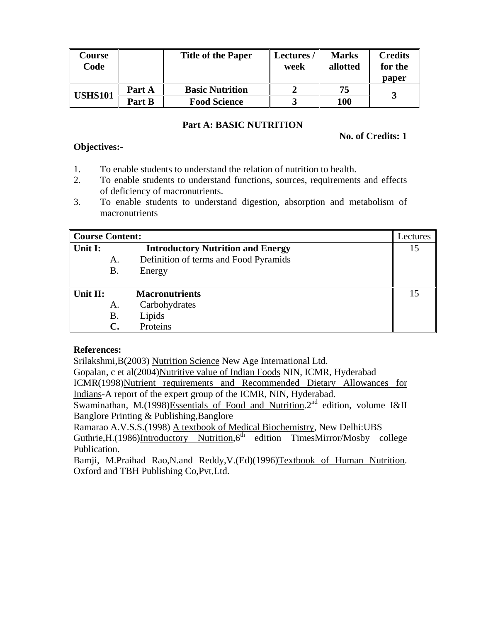| Course<br>Code |        | <b>Title of the Paper</b> | <b>Lectures</b><br>week | <b>Marks</b><br>allotted | <b>Credits</b><br>for the<br>paper |
|----------------|--------|---------------------------|-------------------------|--------------------------|------------------------------------|
| <b>USHS101</b> | Part A | <b>Basic Nutrition</b>    |                         | 75                       |                                    |
|                | Part B | <b>Food Science</b>       |                         | 100                      |                                    |

#### **Part A: BASIC NUTRITION**

#### **No. of Credits: 1**

#### **Objectives:-**

- 1. To enable students to understand the relation of nutrition to health.
- 2. To enable students to understand functions, sources, requirements and effects of deficiency of macronutrients.
- 3. To enable students to understand digestion, absorption and metabolism of macronutrients

| <b>Course Content:</b>                              |    |                                       | Lectures |
|-----------------------------------------------------|----|---------------------------------------|----------|
| Unit I:<br><b>Introductory Nutrition and Energy</b> |    |                                       |          |
|                                                     | А. | Definition of terms and Food Pyramids |          |
|                                                     | Β. | Energy                                |          |
|                                                     |    |                                       |          |
| Unit II:                                            |    | <b>Macronutrients</b>                 | 15       |
|                                                     | A. | Carbohydrates                         |          |
|                                                     | Β. | Lipids                                |          |
|                                                     |    | Proteins                              |          |

#### **References:**

Srilakshmi,B(2003) Nutrition Science New Age International Ltd.

Gopalan, c et al(2004)Nutritive value of Indian Foods NIN, ICMR, Hyderabad

ICMR(1998)Nutrient requirements and Recommended Dietary Allowances for Indians-A report of the expert group of the ICMR, NIN, Hyderabad.

Swaminathan, M.(1998)Essentials of Food and Nutrition.<sup>2nd</sup> edition, volume I&II Banglore Printing & Publishing,Banglore

Ramarao A.V.S.S.(1998) A textbook of Medical Biochemistry, New Delhi:UBS Guthrie, H. (1986)Introductory Nutrition,  $6<sup>th</sup>$  edition TimesMirror/Mosby college Publication.

Bamji, M.Praihad Rao,N.and Reddy,V.(Ed)(1996)Textbook of Human Nutrition. Oxford and TBH Publishing Co,Pvt,Ltd.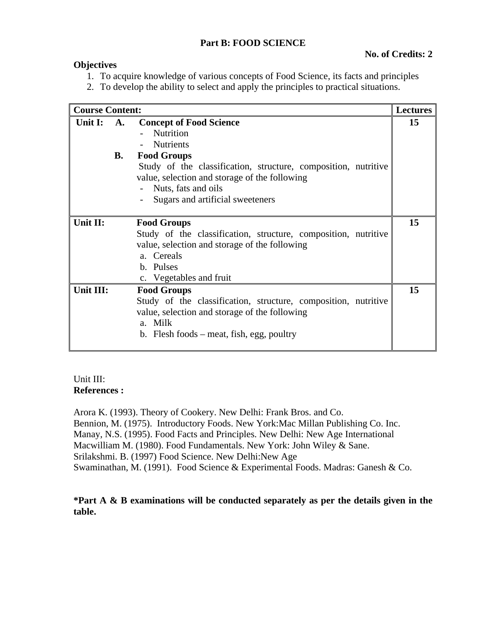#### **Part B: FOOD SCIENCE**

### **No. of Credits: 2**

#### **Objectives**

- 1. To acquire knowledge of various concepts of Food Science, its facts and principles
- 2. To develop the ability to select and apply the principles to practical situations.

| <b>Course Content:</b> |                 |                                                                                                                                                                                                                                                                       | <b>Lectures</b> |
|------------------------|-----------------|-----------------------------------------------------------------------------------------------------------------------------------------------------------------------------------------------------------------------------------------------------------------------|-----------------|
| Unit I:                | <b>A.</b><br>В. | <b>Concept of Food Science</b><br>Nutrition<br><b>Nutrients</b><br><b>Food Groups</b><br>Study of the classification, structure, composition, nutritive<br>value, selection and storage of the following<br>- Nuts, fats and oils<br>Sugars and artificial sweeteners | 15              |
| Unit II:               |                 | <b>Food Groups</b><br>Study of the classification, structure, composition, nutritive<br>value, selection and storage of the following<br>a. Cereals<br>b. Pulses<br>c. Vegetables and fruit                                                                           | 15              |
| Unit III:              |                 | <b>Food Groups</b><br>Study of the classification, structure, composition, nutritive<br>value, selection and storage of the following<br>a. Milk<br>b. Flesh foods – meat, fish, egg, poultry                                                                         | 15              |

#### Unit III: **References :**

Arora K. (1993). Theory of Cookery. New Delhi: Frank Bros. and Co. Bennion, M. (1975). Introductory Foods. New York:Mac Millan Publishing Co. Inc. Manay, N.S. (1995). Food Facts and Principles. New Delhi: New Age International Macwilliam M. (1980). Food Fundamentals. New York: John Wiley & Sane. Srilakshmi. B. (1997) Food Science. New Delhi:New Age Swaminathan, M. (1991). Food Science & Experimental Foods. Madras: Ganesh & Co.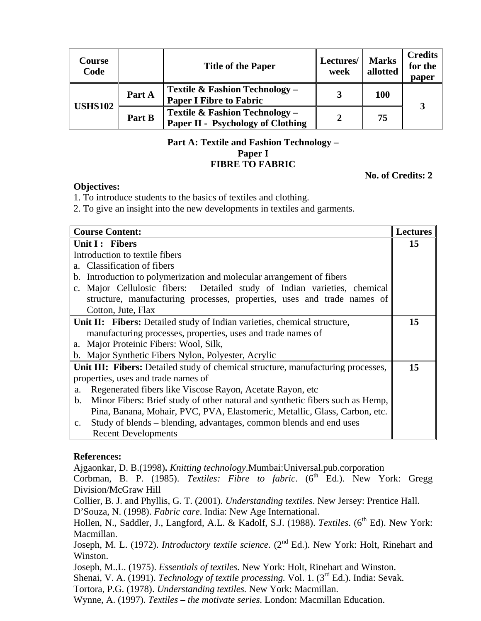| Course<br>Code |        | <b>Title of the Paper</b>                                                  | Lectures/<br>week | <b>Marks</b><br>allotted | <b>Credits</b><br>for the<br>paper |
|----------------|--------|----------------------------------------------------------------------------|-------------------|--------------------------|------------------------------------|
| <b>USHS102</b> | Part A | Textile & Fashion Technology –<br><b>Paper I Fibre to Fabric</b>           | 3                 | <b>100</b>               | 3                                  |
|                | Part B | Textile & Fashion Technology -<br><b>Paper II - Psychology of Clothing</b> | 2                 | 75                       |                                    |

#### **Part A: Textile and Fashion Technology – Paper I FIBRE TO FABRIC**

#### **No. of Credits: 2**

#### **Objectives:**

1. To introduce students to the basics of textiles and clothing.

2. To give an insight into the new developments in textiles and garments.

| <b>Course Content:</b>                                                               | <b>Lectures</b> |
|--------------------------------------------------------------------------------------|-----------------|
| Unit I: Fibers                                                                       | 15              |
| Introduction to textile fibers                                                       |                 |
| a. Classification of fibers                                                          |                 |
| Introduction to polymerization and molecular arrangement of fibers<br>$\mathbf{b}$ . |                 |
| Major Cellulosic fibers: Detailed study of Indian varieties, chemical<br>$c_{\cdot}$ |                 |
| structure, manufacturing processes, properties, uses and trade names of              |                 |
| Cotton, Jute, Flax                                                                   |                 |
| Unit II: Fibers: Detailed study of Indian varieties, chemical structure,             | 15              |
| manufacturing processes, properties, uses and trade names of                         |                 |
| Major Proteinic Fibers: Wool, Silk,<br>a.                                            |                 |
| b. Major Synthetic Fibers Nylon, Polyester, Acrylic                                  |                 |
| Unit III: Fibers: Detailed study of chemical structure, manufacturing processes,     | 15              |
| properties, uses and trade names of                                                  |                 |
| Regenerated fibers like Viscose Rayon, Acetate Rayon, etc<br>a.                      |                 |
| Minor Fibers: Brief study of other natural and synthetic fibers such as Hemp,<br>b.  |                 |
| Pina, Banana, Mohair, PVC, PVA, Elastomeric, Metallic, Glass, Carbon, etc.           |                 |
| Study of blends – blending, advantages, common blends and end uses<br>$\mathbf{c}$ . |                 |
| <b>Recent Developments</b>                                                           |                 |

#### **References:**

Ajgaonkar, D. B.(1998)**.** *Knitting technology*.Mumbai:Universal.pub.corporation

Corbman, B. P. (1985). *Textiles: Fibre to fabric*. (6<sup>th</sup> Ed.). New York: Gregg Division/McGraw Hill

Collier, B. J. and Phyllis, G. T. (2001). *Understanding textiles*. New Jersey: Prentice Hall. D'Souza, N. (1998). *Fabric care*. India: New Age International.

Hollen, N., Saddler, J., Langford, A.L. & Kadolf, S.J. (1988). *Textiles*. (6<sup>th</sup> Ed). New York: Macmillan.

Joseph, M. L. (1972). *Introductory textile science.* (2<sup>nd</sup> Ed.). New York: Holt, Rinehart and Winston.

Joseph, M..L. (1975). *Essentials of textiles.* New York: Holt, Rinehart and Winston.

Shenai, V. A. (1991). *Technology of textile processing*. Vol. 1. (3<sup>rd</sup> Ed.). India: Sevak.

Tortora, P.G. (1978). *Understanding textiles.* New York: Macmillan.

Wynne, A. (1997). *Textiles – the motivate series*. London: Macmillan Education.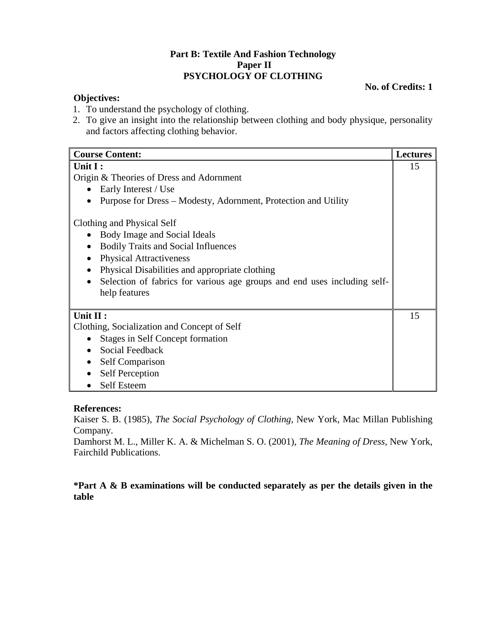### **Part B: Textile And Fashion Technology Paper II PSYCHOLOGY OF CLOTHING**

#### **No. of Credits: 1**

#### **Objectives:**

- 1. To understand the psychology of clothing.
- 2. To give an insight into the relationship between clothing and body physique, personality and factors affecting clothing behavior.

| <b>Course Content:</b>                                                   | <b>Lectures</b> |
|--------------------------------------------------------------------------|-----------------|
| Unit I:                                                                  | 15              |
| Origin & Theories of Dress and Adornment                                 |                 |
| Early Interest / Use                                                     |                 |
| Purpose for Dress – Modesty, Adornment, Protection and Utility           |                 |
| Clothing and Physical Self                                               |                 |
| Body Image and Social Ideals<br>$\bullet$                                |                 |
| <b>Bodily Traits and Social Influences</b><br>$\bullet$                  |                 |
| <b>Physical Attractiveness</b>                                           |                 |
| Physical Disabilities and appropriate clothing<br>$\bullet$              |                 |
| Selection of fabrics for various age groups and end uses including self- |                 |
| help features                                                            |                 |
|                                                                          |                 |
| Unit II:                                                                 | 15              |
| Clothing, Socialization and Concept of Self                              |                 |
| <b>Stages in Self Concept formation</b><br>$\bullet$                     |                 |
| Social Feedback                                                          |                 |
| Self Comparison                                                          |                 |
| <b>Self Perception</b>                                                   |                 |
| <b>Self Esteem</b>                                                       |                 |

#### **References:**

Kaiser S. B. (1985), *The Social Psychology of Clothing,* New York, Mac Millan Publishing Company.

Damhorst M. L., Miller K. A. & Michelman S. O. (2001), *The Meaning of Dress,* New York, Fairchild Publications.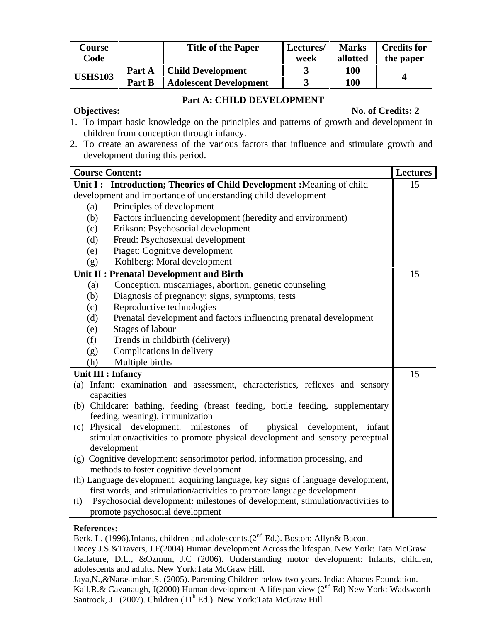| Course         |        | <b>Title of the Paper</b>     | Lectures/ | <b>Marks</b> | <b>Credits for</b> |
|----------------|--------|-------------------------------|-----------|--------------|--------------------|
| Code           |        |                               | week      | allotted     | the paper          |
| <b>USHS103</b> | Part A | <b>Child Development</b>      |           | <b>100</b>   |                    |
|                | Part B | <b>Adolescent Development</b> |           | 100          |                    |

#### **Part A: CHILD DEVELOPMENT**

#### **Objectives:** No. of Credits: 2

- 1. To impart basic knowledge on the principles and patterns of growth and development in children from conception through infancy.
- 2. To create an awareness of the various factors that influence and stimulate growth and development during this period.

|     | <b>Course Content:</b>                                                                                                                                      | <b>Lectures</b> |
|-----|-------------------------------------------------------------------------------------------------------------------------------------------------------------|-----------------|
|     | Unit I: Introduction; Theories of Child Development : Meaning of child                                                                                      | 15              |
|     | development and importance of understanding child development                                                                                               |                 |
| (a) | Principles of development                                                                                                                                   |                 |
| (b) | Factors influencing development (heredity and environment)                                                                                                  |                 |
| (c) | Erikson: Psychosocial development                                                                                                                           |                 |
| (d) | Freud: Psychosexual development                                                                                                                             |                 |
| (e) | Piaget: Cognitive development                                                                                                                               |                 |
| (g) | Kohlberg: Moral development                                                                                                                                 |                 |
|     | Unit II : Prenatal Development and Birth                                                                                                                    | 15              |
| (a) | Conception, miscarriages, abortion, genetic counseling                                                                                                      |                 |
| (b) | Diagnosis of pregnancy: signs, symptoms, tests                                                                                                              |                 |
| (c) | Reproductive technologies                                                                                                                                   |                 |
| (d) | Prenatal development and factors influencing prenatal development                                                                                           |                 |
| (e) | Stages of labour                                                                                                                                            |                 |
| (f) | Trends in childbirth (delivery)                                                                                                                             |                 |
| (g) | Complications in delivery                                                                                                                                   |                 |
| (h) | Multiple births                                                                                                                                             |                 |
|     | <b>Unit III : Infancy</b>                                                                                                                                   | 15              |
|     | (a) Infant: examination and assessment, characteristics, reflexes and sensory                                                                               |                 |
|     | capacities                                                                                                                                                  |                 |
|     | (b) Childcare: bathing, feeding (breast feeding, bottle feeding, supplementary                                                                              |                 |
|     | feeding, weaning), immunization                                                                                                                             |                 |
|     | (c) Physical development: milestones of<br>physical development,<br>infant                                                                                  |                 |
|     | stimulation/activities to promote physical development and sensory perceptual                                                                               |                 |
|     | development                                                                                                                                                 |                 |
|     | (g) Cognitive development: sensorimotor period, information processing, and                                                                                 |                 |
|     | methods to foster cognitive development                                                                                                                     |                 |
|     | (h) Language development: acquiring language, key signs of language development,<br>first words, and stimulation/activities to promote language development |                 |
| (i) | Psychosocial development: milestones of development, stimulation/activities to                                                                              |                 |
|     | promote psychosocial development                                                                                                                            |                 |

#### **References:**

Berk, L. (1996).Infants, children and adolescents.(2<sup>nd</sup> Ed.). Boston: Allyn& Bacon.

Dacey J.S.&Travers, J.F(2004).Human development Across the lifespan. New York: Tata McGraw Gallature, D.L., &Ozmun, J.C (2006). Understanding motor development: Infants, children, adolescents and adults. New York:Tata McGraw Hill.

Jaya,N.,&Narasimhan,S. (2005). Parenting Children below two years. India: Abacus Foundation. Kail,R.& Cavanaugh, J(2000) Human development-A lifespan view (2<sup>nd</sup> Ed) New York: Wadsworth Santrock, J. (2007). Children (11<sup>h</sup> Ed.). New York: Tata McGraw Hill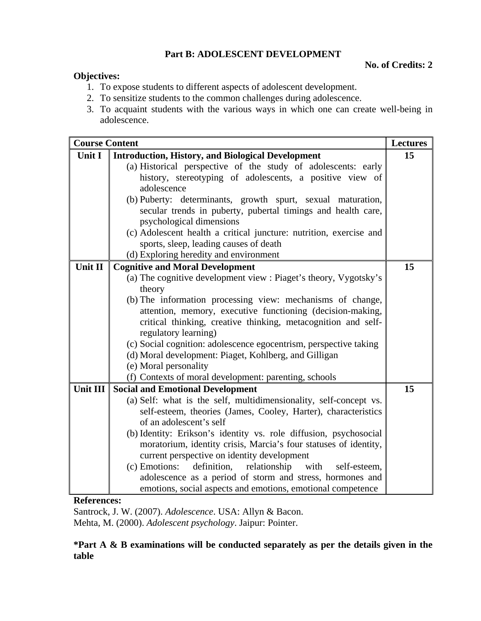### **Part B: ADOLESCENT DEVELOPMENT**

#### **No. of Credits: 2**

### **Objectives:**

- 1. To expose students to different aspects of adolescent development.
- 2. To sensitize students to the common challenges during adolescence.
- 3. To acquaint students with the various ways in which one can create well-being in adolescence.

| <b>Course Content</b> |                                                                                                                  | <b>Lectures</b> |
|-----------------------|------------------------------------------------------------------------------------------------------------------|-----------------|
| Unit I                | <b>Introduction, History, and Biological Development</b>                                                         | 15              |
|                       | (a) Historical perspective of the study of adolescents: early                                                    |                 |
|                       | history, stereotyping of adolescents, a positive view of                                                         |                 |
|                       | adolescence                                                                                                      |                 |
|                       | (b) Puberty: determinants, growth spurt, sexual maturation,                                                      |                 |
|                       | secular trends in puberty, pubertal timings and health care,                                                     |                 |
|                       | psychological dimensions                                                                                         |                 |
|                       | (c) Adolescent health a critical juncture: nutrition, exercise and<br>sports, sleep, leading causes of death     |                 |
|                       | (d) Exploring heredity and environment                                                                           |                 |
| Unit II               | <b>Cognitive and Moral Development</b>                                                                           | 15              |
|                       | (a) The cognitive development view : Piaget's theory, Vygotsky's                                                 |                 |
|                       | theory                                                                                                           |                 |
|                       | (b) The information processing view: mechanisms of change,                                                       |                 |
|                       | attention, memory, executive functioning (decision-making,                                                       |                 |
|                       | critical thinking, creative thinking, metacognition and self-                                                    |                 |
|                       | regulatory learning)                                                                                             |                 |
|                       | (c) Social cognition: adolescence egocentrism, perspective taking                                                |                 |
|                       | (d) Moral development: Piaget, Kohlberg, and Gilligan                                                            |                 |
|                       | (e) Moral personality                                                                                            |                 |
|                       | (f) Contexts of moral development: parenting, schools                                                            |                 |
| <b>Unit III</b>       | <b>Social and Emotional Development</b>                                                                          | 15              |
|                       | (a) Self: what is the self, multidimensionality, self-concept vs.                                                |                 |
|                       | self-esteem, theories (James, Cooley, Harter), characteristics                                                   |                 |
|                       | of an adolescent's self                                                                                          |                 |
|                       | (b) Identity: Erikson's identity vs. role diffusion, psychosocial                                                |                 |
|                       | moratorium, identity crisis, Marcia's four statuses of identity,                                                 |                 |
|                       | current perspective on identity development<br>(c) Emotions:                                                     |                 |
|                       | definition,<br>relationship<br>with<br>self-esteem,<br>adolescence as a period of storm and stress, hormones and |                 |
|                       | emotions, social aspects and emotions, emotional competence                                                      |                 |
|                       |                                                                                                                  |                 |

#### **References:**

Santrock, J. W. (2007). *Adolescence*. USA: Allyn & Bacon. Mehta, M. (2000). *Adolescent psychology*. Jaipur: Pointer.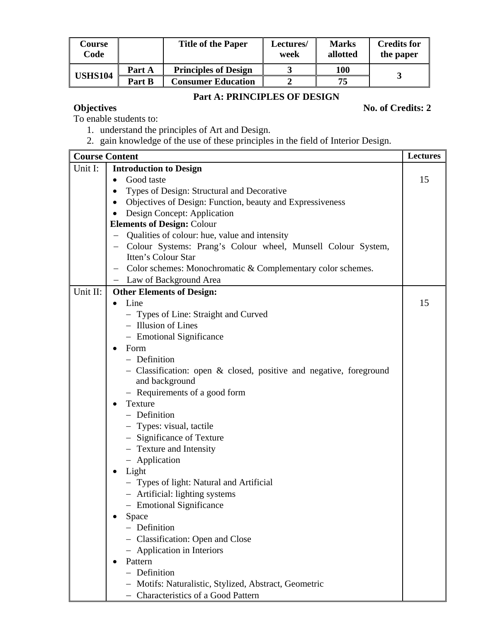| <b>Course</b><br>Code |        | <b>Title of the Paper</b>   | Lectures/<br>week | <b>Marks</b><br>allotted | <b>Credits for</b><br>the paper |
|-----------------------|--------|-----------------------------|-------------------|--------------------------|---------------------------------|
| <b>USHS104</b>        | Part A | <b>Principles of Design</b> |                   | 100                      |                                 |
|                       | Part B | <b>Consumer Education</b>   |                   | 75                       |                                 |

## **Part A: PRINCIPLES OF DESIGN**

## **Objectives** No. of Credits: 2

To enable students to:

- 1. understand the principles of Art and Design.
- 2. gain knowledge of the use of these principles in the field of Interior Design.

|          | <b>Course Content</b>                                                                    | <b>Lectures</b> |
|----------|------------------------------------------------------------------------------------------|-----------------|
| Unit I:  | <b>Introduction to Design</b>                                                            |                 |
|          | Good taste<br>$\bullet$                                                                  | 15              |
|          | Types of Design: Structural and Decorative                                               |                 |
|          | Objectives of Design: Function, beauty and Expressiveness                                |                 |
|          | Design Concept: Application                                                              |                 |
|          | <b>Elements of Design: Colour</b>                                                        |                 |
|          | Qualities of colour: hue, value and intensity                                            |                 |
|          | Colour Systems: Prang's Colour wheel, Munsell Colour System,<br>$\overline{\phantom{m}}$ |                 |
|          | Itten's Colour Star                                                                      |                 |
|          | Color schemes: Monochromatic & Complementary color schemes.                              |                 |
|          | Law of Background Area                                                                   |                 |
| Unit II: | <b>Other Elements of Design:</b>                                                         |                 |
|          | Line                                                                                     | 15              |
|          | - Types of Line: Straight and Curved                                                     |                 |
|          | - Illusion of Lines                                                                      |                 |
|          | - Emotional Significance                                                                 |                 |
|          | Form<br>$\bullet$                                                                        |                 |
|          | - Definition                                                                             |                 |
|          | - Classification: open $\&$ closed, positive and negative, foreground<br>and background  |                 |
|          | - Requirements of a good form                                                            |                 |
|          | Texture<br>$\bullet$                                                                     |                 |
|          | - Definition                                                                             |                 |
|          | - Types: visual, tactile                                                                 |                 |
|          | - Significance of Texture                                                                |                 |
|          | - Texture and Intensity                                                                  |                 |
|          | - Application                                                                            |                 |
|          | Light<br>$\bullet$                                                                       |                 |
|          | - Types of light: Natural and Artificial                                                 |                 |
|          | - Artificial: lighting systems                                                           |                 |
|          | - Emotional Significance                                                                 |                 |
|          | Space                                                                                    |                 |
|          | - Definition                                                                             |                 |
|          | - Classification: Open and Close                                                         |                 |
|          | - Application in Interiors                                                               |                 |
|          | Pattern                                                                                  |                 |
|          | - Definition                                                                             |                 |
|          | - Motifs: Naturalistic, Stylized, Abstract, Geometric                                    |                 |
|          | - Characteristics of a Good Pattern                                                      |                 |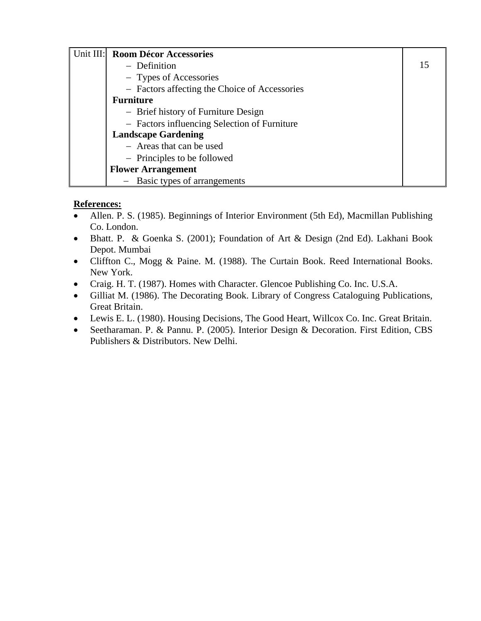| Unit III: | <b>Room Décor Accessories</b>                 |    |
|-----------|-----------------------------------------------|----|
|           | - Definition                                  | 15 |
|           | - Types of Accessories                        |    |
|           | - Factors affecting the Choice of Accessories |    |
|           | <b>Furniture</b>                              |    |
|           | - Brief history of Furniture Design           |    |
|           | - Factors influencing Selection of Furniture  |    |
|           | <b>Landscape Gardening</b>                    |    |
|           | - Areas that can be used                      |    |
|           | - Principles to be followed                   |    |
|           | <b>Flower Arrangement</b>                     |    |
|           | Basic types of arrangements                   |    |

## **References:**

- Allen. P. S. (1985). Beginnings of Interior Environment (5th Ed), Macmillan Publishing Co. London.
- Bhatt. P. & Goenka S. (2001); Foundation of Art & Design (2nd Ed). Lakhani Book Depot. Mumbai
- Cliffton C., Mogg & Paine. M. (1988). The Curtain Book. Reed International Books. New York.
- Craig. H. T. (1987). Homes with Character. Glencoe Publishing Co. Inc. U.S.A.
- Gilliat M. (1986). The Decorating Book. Library of Congress Cataloguing Publications, Great Britain.
- Lewis E. L. (1980). Housing Decisions, The Good Heart, Willcox Co. Inc. Great Britain.
- Seetharaman. P. & Pannu. P. (2005). Interior Design & Decoration. First Edition, CBS Publishers & Distributors. New Delhi.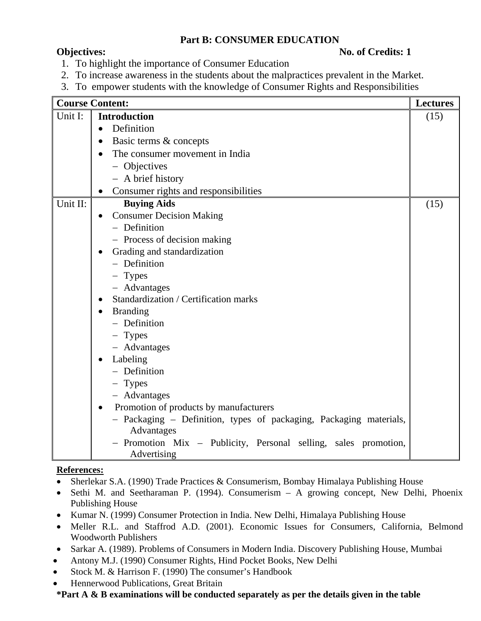## **Part B: CONSUMER EDUCATION**

### **Objectives:** No. of Credits: 1

- 1. To highlight the importance of Consumer Education
- 2. To increase awareness in the students about the malpractices prevalent in the Market.
- 3. To empower students with the knowledge of Consumer Rights and Responsibilities

|          | <b>Course Content:</b>                                                           | <b>Lectures</b> |  |  |  |  |
|----------|----------------------------------------------------------------------------------|-----------------|--|--|--|--|
| Unit I:  | <b>Introduction</b>                                                              | (15)            |  |  |  |  |
|          | Definition<br>$\bullet$                                                          |                 |  |  |  |  |
|          | Basic terms & concepts<br>$\bullet$                                              |                 |  |  |  |  |
|          | The consumer movement in India<br>$\bullet$                                      |                 |  |  |  |  |
|          | - Objectives                                                                     |                 |  |  |  |  |
|          | - A brief history                                                                |                 |  |  |  |  |
|          | Consumer rights and responsibilities                                             |                 |  |  |  |  |
| Unit II: | <b>Buying Aids</b>                                                               | (15)            |  |  |  |  |
|          | <b>Consumer Decision Making</b><br>$\bullet$                                     |                 |  |  |  |  |
|          | - Definition                                                                     |                 |  |  |  |  |
|          | - Process of decision making                                                     |                 |  |  |  |  |
|          | Grading and standardization<br>$\bullet$                                         |                 |  |  |  |  |
|          | - Definition                                                                     |                 |  |  |  |  |
|          | - Types                                                                          |                 |  |  |  |  |
|          | - Advantages                                                                     |                 |  |  |  |  |
|          | Standardization / Certification marks<br>$\bullet$                               |                 |  |  |  |  |
|          | <b>Branding</b><br>$\bullet$                                                     |                 |  |  |  |  |
|          | - Definition                                                                     |                 |  |  |  |  |
|          | $-$ Types                                                                        |                 |  |  |  |  |
|          | - Advantages                                                                     |                 |  |  |  |  |
|          | Labeling<br>$\bullet$                                                            |                 |  |  |  |  |
|          | - Definition                                                                     |                 |  |  |  |  |
|          | $-$ Types                                                                        |                 |  |  |  |  |
|          | - Advantages                                                                     |                 |  |  |  |  |
|          | Promotion of products by manufacturers<br>$\bullet$                              |                 |  |  |  |  |
|          | - Packaging - Definition, types of packaging, Packaging materials,<br>Advantages |                 |  |  |  |  |
|          | - Promotion Mix - Publicity, Personal selling, sales promotion,<br>Advertising   |                 |  |  |  |  |

### **References:**

- Sherlekar S.A. (1990) Trade Practices & Consumerism, Bombay Himalaya Publishing House
- Sethi M. and Seetharaman P. (1994). Consumerism A growing concept, New Delhi, Phoenix Publishing House
- Kumar N. (1999) Consumer Protection in India. New Delhi, Himalaya Publishing House
- Meller R.L. and Staffrod A.D. (2001). Economic Issues for Consumers, California, Belmond Woodworth Publishers
- Sarkar A. (1989). Problems of Consumers in Modern India. Discovery Publishing House, Mumbai
- Antony M.J. (1990) Consumer Rights, Hind Pocket Books, New Delhi
- Stock M. & Harrison F. (1990) The consumer's Handbook
- Hennerwood Publications, Great Britain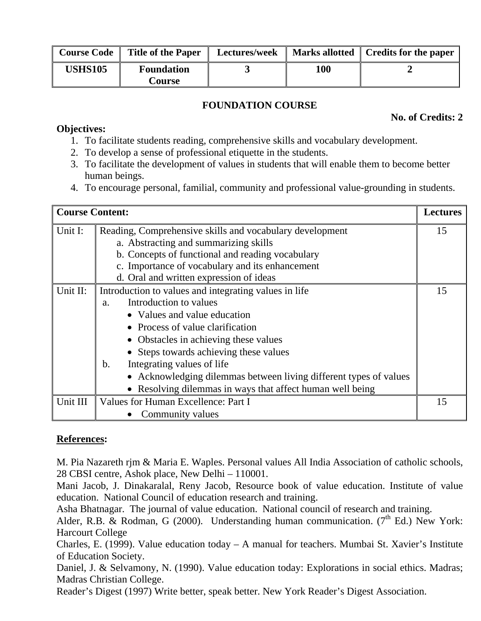| <b>Course Code</b> | <b>Title of the Paper</b>   | <b>Lectures/week</b> |     | Marks allotted   Credits for the paper |
|--------------------|-----------------------------|----------------------|-----|----------------------------------------|
| <b>USHS105</b>     | <b>Foundation</b><br>Course |                      | 100 |                                        |

## **FOUNDATION COURSE**

**No. of Credits: 2** 

### **Objectives:**

- 1. To facilitate students reading, comprehensive skills and vocabulary development.
- 2. To develop a sense of professional etiquette in the students.
- 3. To facilitate the development of values in students that will enable them to become better human beings.
- 4. To encourage personal, familial, community and professional value-grounding in students.

| <b>Course Content:</b> |                                                                   | <b>Lectures</b> |  |  |
|------------------------|-------------------------------------------------------------------|-----------------|--|--|
| Unit I:                | Reading, Comprehensive skills and vocabulary development          | 15              |  |  |
|                        | a. Abstracting and summarizing skills                             |                 |  |  |
|                        | b. Concepts of functional and reading vocabulary                  |                 |  |  |
|                        | c. Importance of vocabulary and its enhancement                   |                 |  |  |
|                        | d. Oral and written expression of ideas                           |                 |  |  |
| Unit II:               | Introduction to values and integrating values in life             | 15              |  |  |
|                        | Introduction to values<br>a.                                      |                 |  |  |
|                        | • Values and value education                                      |                 |  |  |
|                        | Process of value clarification                                    |                 |  |  |
|                        | • Obstacles in achieving these values                             |                 |  |  |
|                        | • Steps towards achieving these values                            |                 |  |  |
|                        | Integrating values of life<br>$\mathbf b$ .                       |                 |  |  |
|                        | • Acknowledging dilemmas between living different types of values |                 |  |  |
|                        | • Resolving dilemmas in ways that affect human well being         |                 |  |  |
| Unit III               | Values for Human Excellence: Part I                               | 15              |  |  |
|                        | Community values                                                  |                 |  |  |

## **References:**

M. Pia Nazareth rjm & Maria E. Waples. Personal values All India Association of catholic schools, 28 CBSI centre, Ashok place, New Delhi – 110001.

Mani Jacob, J. Dinakaralal, Reny Jacob, Resource book of value education. Institute of value education. National Council of education research and training.

Asha Bhatnagar. The journal of value education. National council of research and training.

Alder, R.B. & Rodman, G (2000). Understanding human communication. ( $7<sup>th</sup>$  Ed.) New York: Harcourt College

Charles, E. (1999). Value education today – A manual for teachers. Mumbai St. Xavier's Institute of Education Society.

Daniel, J. & Selvamony, N. (1990). Value education today: Explorations in social ethics. Madras; Madras Christian College.

Reader's Digest (1997) Write better, speak better. New York Reader's Digest Association.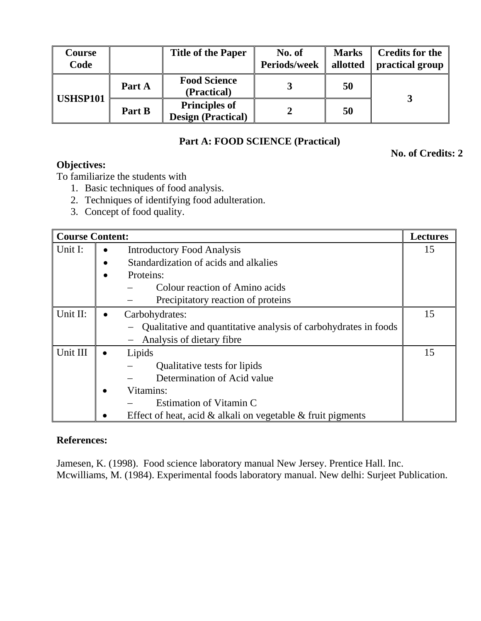| Course<br>Code  |        | <b>Title of the Paper</b>                         | No. of<br><b>Periods/week</b> | <b>Marks</b><br>allotted | <b>Credits for the</b><br>practical group |
|-----------------|--------|---------------------------------------------------|-------------------------------|--------------------------|-------------------------------------------|
| <b>USHSP101</b> | Part A | <b>Food Science</b><br>(Practical)                |                               | 50                       |                                           |
|                 | Part B | <b>Principles of</b><br><b>Design (Practical)</b> |                               | 50                       |                                           |

## **Part A: FOOD SCIENCE (Practical)**

**No. of Credits: 2** 

# **Objectives:**

To familiarize the students with

- 1. Basic techniques of food analysis.
- 2. Techniques of identifying food adulteration.
- 3. Concept of food quality.

| <b>Course Content:</b> |                                                                   | <b>Lectures</b> |
|------------------------|-------------------------------------------------------------------|-----------------|
| Unit I:                | <b>Introductory Food Analysis</b>                                 | 15              |
|                        | Standardization of acids and alkalies                             |                 |
|                        | Proteins:                                                         |                 |
|                        | Colour reaction of Amino acids                                    |                 |
|                        | Precipitatory reaction of proteins                                |                 |
| Unit II:               | Carbohydrates:                                                    | 15              |
|                        | Qualitative and quantitative analysis of carbohydrates in foods   |                 |
|                        | Analysis of dietary fibre                                         |                 |
| Unit III               | Lipids                                                            | 15              |
|                        | Qualitative tests for lipids                                      |                 |
|                        | Determination of Acid value                                       |                 |
|                        | Vitamins:                                                         |                 |
|                        | Estimation of Vitamin C                                           |                 |
|                        | Effect of heat, acid $\&$ alkali on vegetable $\&$ fruit pigments |                 |

## **References:**

Jamesen, K. (1998). Food science laboratory manual New Jersey. Prentice Hall. Inc. Mcwilliams, M. (1984). Experimental foods laboratory manual. New delhi: Surjeet Publication.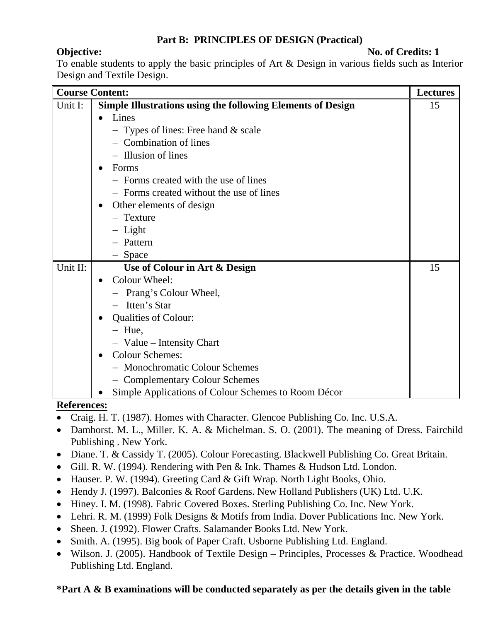## **Part B: PRINCIPLES OF DESIGN (Practical)**

**Objective:** No. of Credits: 1

To enable students to apply the basic principles of Art & Design in various fields such as Interior Design and Textile Design.

|          | <b>Course Content:</b>                                             | <b>Lectures</b> |
|----------|--------------------------------------------------------------------|-----------------|
| Unit I:  | <b>Simple Illustrations using the following Elements of Design</b> | 15              |
|          | Lines                                                              |                 |
|          | - Types of lines: Free hand $&$ scale                              |                 |
|          | - Combination of lines                                             |                 |
|          | - Illusion of lines                                                |                 |
|          | Forms<br>$\bullet$                                                 |                 |
|          | - Forms created with the use of lines                              |                 |
|          | - Forms created without the use of lines                           |                 |
|          | Other elements of design<br>$\bullet$                              |                 |
|          | - Texture                                                          |                 |
|          | - Light                                                            |                 |
|          | - Pattern                                                          |                 |
|          | - Space                                                            |                 |
| Unit II: | Use of Colour in Art & Design                                      | 15              |
|          | Colour Wheel:<br>$\bullet$                                         |                 |
|          | - Prang's Colour Wheel,                                            |                 |
|          | - Itten's Star                                                     |                 |
|          | <b>Qualities of Colour:</b><br>$\bullet$                           |                 |
|          | $-$ Hue,                                                           |                 |
|          | - Value - Intensity Chart                                          |                 |
|          | <b>Colour Schemes:</b><br>$\bullet$                                |                 |
|          | - Monochromatic Colour Schemes                                     |                 |
|          | - Complementary Colour Schemes                                     |                 |
|          | Simple Applications of Colour Schemes to Room Décor                |                 |

#### **References:**

- Craig. H. T. (1987). Homes with Character. Glencoe Publishing Co. Inc. U.S.A.
- Damhorst. M. L., Miller. K. A. & Michelman. S. O. (2001). The meaning of Dress. Fairchild Publishing . New York.
- Diane. T. & Cassidy T. (2005). Colour Forecasting. Blackwell Publishing Co. Great Britain.
- Gill. R. W. (1994). Rendering with Pen & Ink. Thames & Hudson Ltd. London.
- Hauser. P. W. (1994). Greeting Card & Gift Wrap. North Light Books, Ohio.
- Hendy J. (1997). Balconies & Roof Gardens. New Holland Publishers (UK) Ltd. U.K.
- Hiney. I. M. (1998). Fabric Covered Boxes. Sterling Publishing Co. Inc. New York.
- Lehri. R. M. (1999) Folk Designs & Motifs from India. Dover Publications Inc. New York.
- Sheen. J. (1992). Flower Crafts. Salamander Books Ltd. New York.
- Smith. A. (1995). Big book of Paper Craft. Usborne Publishing Ltd. England.
- Wilson. J. (2005). Handbook of Textile Design Principles, Processes & Practice. Woodhead Publishing Ltd. England.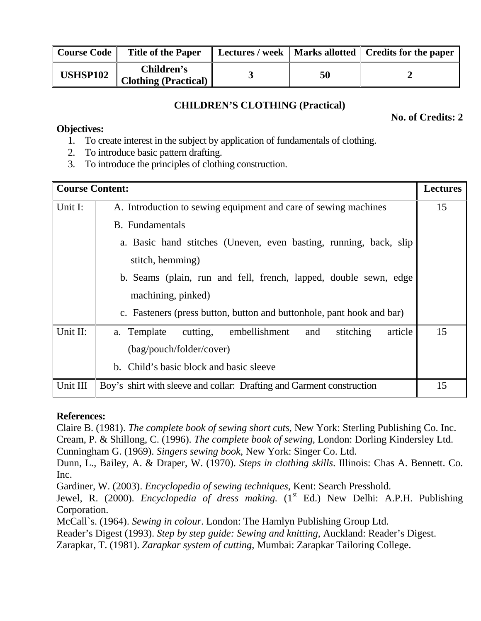| <b>Course Code</b> | <b>Title of the Paper</b>          |    | Lectures / week   Marks allotted   Credits for the paper |
|--------------------|------------------------------------|----|----------------------------------------------------------|
| <b>USHSP102</b>    | Children's<br>Clothing (Practical) | 50 |                                                          |

## **CHILDREN'S CLOTHING (Practical)**

**No. of Credits: 2** 

#### **Objectives:**

- 1. To create interest in the subject by application of fundamentals of clothing.
- 2. To introduce basic pattern drafting.
- 3. To introduce the principles of clothing construction.

| <b>Course Content:</b> |                                                                         | <b>Lectures</b> |  |  |  |
|------------------------|-------------------------------------------------------------------------|-----------------|--|--|--|
| Unit I:                | A. Introduction to sewing equipment and care of sewing machines         |                 |  |  |  |
|                        | <b>B.</b> Fundamentals                                                  |                 |  |  |  |
|                        | a. Basic hand stitches (Uneven, even basting, running, back, slip       |                 |  |  |  |
|                        | stitch, hemming)                                                        |                 |  |  |  |
|                        | b. Seams (plain, run and fell, french, lapped, double sewn, edge        |                 |  |  |  |
|                        | machining, pinked)                                                      |                 |  |  |  |
|                        | c. Fasteners (press button, button and buttonhole, pant hook and bar)   |                 |  |  |  |
| Unit II:               | embellishment<br>stitching<br>article<br>a. Template<br>cutting,<br>and | 15              |  |  |  |
|                        | (bag/pouch/folder/cover)                                                |                 |  |  |  |
|                        | b. Child's basic block and basic sleeve                                 |                 |  |  |  |
| Unit III               | Boy's shirt with sleeve and collar: Drafting and Garment construction   | 15              |  |  |  |

## **References:**

Claire B. (1981). *The complete book of sewing short cuts*, New York: Sterling Publishing Co. Inc. Cream, P. & Shillong, C. (1996). *The complete book of sewing*, London: Dorling Kindersley Ltd. Cunningham G. (1969). *Singers sewing book*, New York: Singer Co. Ltd.

Dunn, L., Bailey, A. & Draper, W. (1970). *Steps in clothing skills*. Illinois: Chas A. Bennett. Co. Inc.

Gardiner, W. (2003). *Encyclopedia of sewing techniques*, Kent: Search Presshold.

Jewel, R. (2000). *Encyclopedia of dress making.* (1<sup>st</sup> Ed.) New Delhi: A.P.H. Publishing Corporation.

McCall`s. (1964). *Sewing in colour*. London: The Hamlyn Publishing Group Ltd.

Reader's Digest (1993). *Step by step guide: Sewing and knitting*, Auckland: Reader's Digest.

Zarapkar, T. (1981). *Zarapkar system of cutting*, Mumbai: Zarapkar Tailoring College.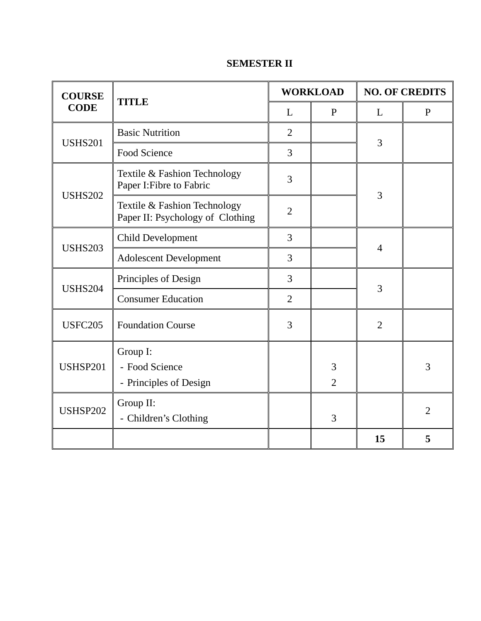| <b>COURSE</b>                                         | <b>TITLE</b>                                                     |                | <b>WORKLOAD</b>     |                | <b>NO. OF CREDITS</b> |  |
|-------------------------------------------------------|------------------------------------------------------------------|----------------|---------------------|----------------|-----------------------|--|
| <b>CODE</b>                                           |                                                                  | L              | $\mathbf{P}$        | L              | $\mathbf{P}$          |  |
| <b>USHS201</b>                                        | <b>Basic Nutrition</b>                                           | $\overline{2}$ |                     | 3              |                       |  |
|                                                       | <b>Food Science</b>                                              | 3              |                     |                |                       |  |
|                                                       | Textile & Fashion Technology<br>Paper I: Fibre to Fabric         | 3              |                     |                |                       |  |
| <b>USHS202</b>                                        | Textile & Fashion Technology<br>Paper II: Psychology of Clothing | $\overline{2}$ |                     | 3              |                       |  |
|                                                       | <b>Child Development</b>                                         | 3              |                     |                |                       |  |
| <b>USHS203</b>                                        | <b>Adolescent Development</b>                                    | 3              |                     | $\overline{4}$ |                       |  |
| <b>USHS204</b>                                        | Principles of Design                                             | 3              |                     | 3              |                       |  |
|                                                       | <b>Consumer Education</b>                                        | $\overline{2}$ |                     |                |                       |  |
| <b>USFC205</b>                                        | <b>Foundation Course</b>                                         | 3              |                     | $\overline{2}$ |                       |  |
| <b>USHSP201</b>                                       | Group I:<br>- Food Science<br>- Principles of Design             |                | 3<br>$\overline{2}$ |                | 3                     |  |
| Group II:<br><b>USHSP202</b><br>- Children's Clothing |                                                                  |                | 3                   |                | $\overline{2}$        |  |
|                                                       |                                                                  |                |                     | 15             | 5                     |  |

## **SEMESTER II**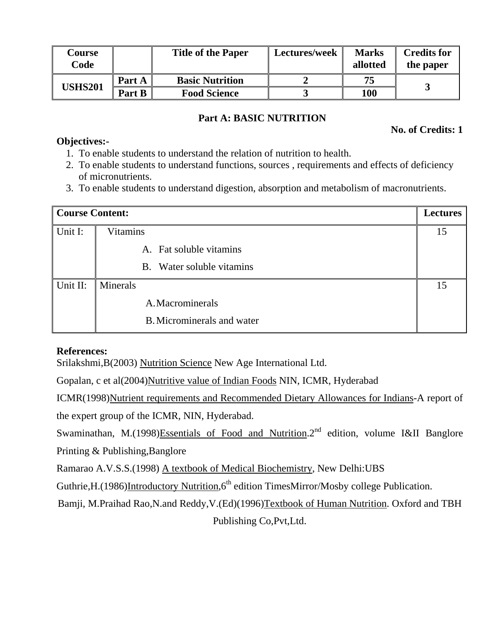| Course<br>Code |        | <b>Title of the Paper</b> | Lectures/week | <b>Marks</b><br>allotted | <b>Credits for</b><br>the paper |
|----------------|--------|---------------------------|---------------|--------------------------|---------------------------------|
| <b>USHS201</b> | Part A | <b>Basic Nutrition</b>    |               | 75                       |                                 |
|                | Part B | <b>Food Science</b>       |               | 100                      |                                 |

## **Part A: BASIC NUTRITION**

### **Objectives:-**

**No. of Credits: 1** 

- 1. To enable students to understand the relation of nutrition to health.
- 2. To enable students to understand functions, sources , requirements and effects of deficiency of micronutrients.
- 3. To enable students to understand digestion, absorption and metabolism of macronutrients.

| <b>Course Content:</b> |                                   | <b>Lectures</b> |
|------------------------|-----------------------------------|-----------------|
| Unit I:                | <b>Vitamins</b>                   | 15              |
|                        | A. Fat soluble vitamins           |                 |
|                        | B. Water soluble vitamins         |                 |
| Unit II:               | Minerals                          | 15              |
|                        | A. Macrominerals                  |                 |
|                        | <b>B.</b> Microminerals and water |                 |

## **References:**

Srilakshmi,B(2003) Nutrition Science New Age International Ltd.

Gopalan, c et al(2004)Nutritive value of Indian Foods NIN, ICMR, Hyderabad

ICMR(1998)Nutrient requirements and Recommended Dietary Allowances for Indians-A report of the expert group of the ICMR, NIN, Hyderabad.

Swaminathan, M.(1998)Essentials of Food and Nutrition. $2<sup>nd</sup>$  edition, volume I&II Banglore Printing & Publishing,Banglore

Ramarao A.V.S.S.(1998) A textbook of Medical Biochemistry, New Delhi:UBS

Guthrie, H. (1986)Introductory Nutrition,  $6<sup>th</sup>$  edition TimesMirror/Mosby college Publication.

Bamji, M.Praihad Rao,N.and Reddy,V.(Ed)(1996)Textbook of Human Nutrition. Oxford and TBH

Publishing Co,Pvt,Ltd.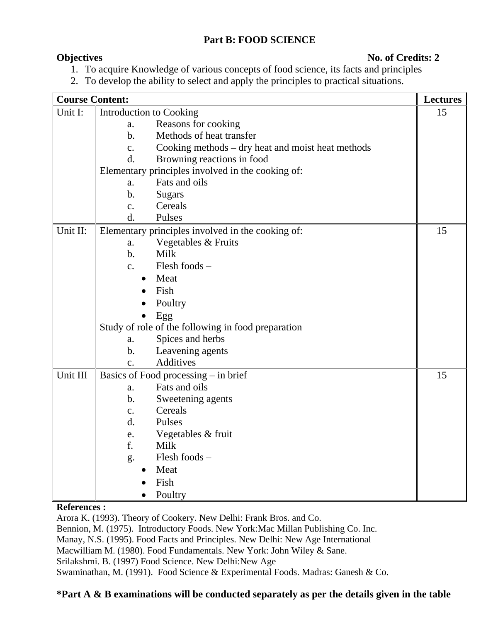## **Part B: FOOD SCIENCE**

### **Objectives** No. of Credits: 2

- 1. To acquire Knowledge of various concepts of food science, its facts and principles
- 2. To develop the ability to select and apply the principles to practical situations.

| <b>Course Content:</b> |                         |                                                    | <b>Lectures</b> |
|------------------------|-------------------------|----------------------------------------------------|-----------------|
| Unit I:                | Introduction to Cooking |                                                    | 15              |
|                        | a.                      | Reasons for cooking                                |                 |
|                        | b.                      | Methods of heat transfer                           |                 |
|                        | c.                      | Cooking methods - dry heat and moist heat methods  |                 |
|                        | d.                      | Browning reactions in food                         |                 |
|                        |                         | Elementary principles involved in the cooking of:  |                 |
|                        | a.                      | Fats and oils                                      |                 |
|                        | b.                      | <b>Sugars</b>                                      |                 |
|                        | c.                      | Cereals                                            |                 |
|                        | d.                      | Pulses                                             |                 |
| Unit II:               |                         | Elementary principles involved in the cooking of:  | 15              |
|                        | a.                      | Vegetables & Fruits                                |                 |
|                        | b.                      | Milk                                               |                 |
|                        | c.                      | Flesh foods -                                      |                 |
|                        | $\bullet$               | Meat                                               |                 |
|                        |                         | Fish                                               |                 |
|                        |                         | Poultry                                            |                 |
|                        |                         | Egg                                                |                 |
|                        |                         | Study of role of the following in food preparation |                 |
|                        | a.                      | Spices and herbs                                   |                 |
|                        | b.                      | Leavening agents                                   |                 |
|                        | $\mathbf{c}$ .          | Additives                                          |                 |
| Unit III               |                         | Basics of Food processing – in brief               | 15              |
|                        | a.                      | Fats and oils                                      |                 |
|                        | b.                      | Sweetening agents                                  |                 |
|                        | c.                      | Cereals                                            |                 |
|                        | d.                      | Pulses                                             |                 |
|                        | e.                      | Vegetables & fruit                                 |                 |
|                        | f.                      | Milk                                               |                 |
|                        | g.                      | Flesh foods -                                      |                 |
|                        |                         | Meat                                               |                 |
|                        |                         | Fish                                               |                 |
|                        |                         | Poultry                                            |                 |

#### **References :**

Arora K. (1993). Theory of Cookery. New Delhi: Frank Bros. and Co. Bennion, M. (1975). Introductory Foods. New York:Mac Millan Publishing Co. Inc. Manay, N.S. (1995). Food Facts and Principles. New Delhi: New Age International Macwilliam M. (1980). Food Fundamentals. New York: John Wiley & Sane. Srilakshmi. B. (1997) Food Science. New Delhi:New Age Swaminathan, M. (1991). Food Science & Experimental Foods. Madras: Ganesh & Co.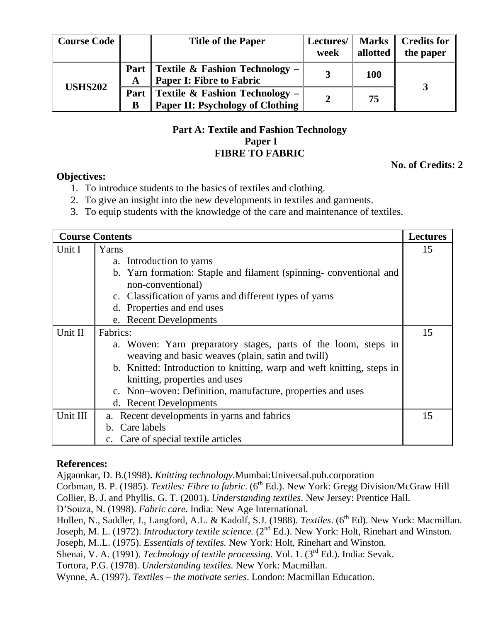| <b>Course Code</b> |           | <b>Title of the Paper</b>                                                            | Lectures/<br>week | <b>Marks</b><br>allotted | <b>Credits for</b><br>the paper |
|--------------------|-----------|--------------------------------------------------------------------------------------|-------------------|--------------------------|---------------------------------|
| <b>USHS202</b>     | Part      | <b>Textile &amp; Fashion Technology –</b><br><b>Paper I: Fibre to Fabric</b>         |                   | <b>100</b>               |                                 |
|                    | Part<br>B | <b>Textile &amp; Fashion Technology -</b><br><b>Paper II: Psychology of Clothing</b> |                   | 75                       |                                 |

## **Part A: Textile and Fashion Technology Paper I FIBRE TO FABRIC**

**No. of Credits: 2** 

#### **Objectives:**

- 1. To introduce students to the basics of textiles and clothing.
- 2. To give an insight into the new developments in textiles and garments.
- 3. To equip students with the knowledge of the care and maintenance of textiles.

|          | <b>Course Contents</b>                                                 | <b>Lectures</b> |
|----------|------------------------------------------------------------------------|-----------------|
| Unit I   | Yarns                                                                  | 15              |
|          | a. Introduction to yarns                                               |                 |
|          | b. Yarn formation: Staple and filament (spinning-conventional and      |                 |
|          | non-conventional)                                                      |                 |
|          | c. Classification of yarns and different types of yarns                |                 |
|          | d. Properties and end uses                                             |                 |
|          | e. Recent Developments                                                 |                 |
| Unit II  | Fabrics:                                                               | 15              |
|          | a. Woven: Yarn preparatory stages, parts of the loom, steps in         |                 |
|          | weaving and basic weaves (plain, satin and twill)                      |                 |
|          | b. Knitted: Introduction to knitting, warp and weft knitting, steps in |                 |
|          | knitting, properties and uses                                          |                 |
|          | c. Non-woven: Definition, manufacture, properties and uses             |                 |
|          | d. Recent Developments                                                 |                 |
| Unit III | a. Recent developments in yarns and fabrics                            | 15              |
|          | b. Care labels                                                         |                 |
|          | c. Care of special textile articles                                    |                 |

#### **References:**

Ajgaonkar, D. B.(1998)**.** *Knitting technology*.Mumbai:Universal.pub.corporation

Corbman, B. P. (1985). *Textiles: Fibre to fabric*. (6<sup>th</sup> Ed.). New York: Gregg Division/McGraw Hill Collier, B. J. and Phyllis, G. T. (2001). *Understanding textiles*. New Jersey: Prentice Hall.

D'Souza, N. (1998). *Fabric care*. India: New Age International.

Hollen, N., Saddler, J., Langford, A.L. & Kadolf, S.J. (1988). *Textiles*. (6<sup>th</sup> Ed). New York: Macmillan.

Joseph, M. L. (1972). *Introductory textile science*. (2<sup>nd</sup> Ed.). New York: Holt, Rinehart and Winston.

Joseph, M..L. (1975). *Essentials of textiles.* New York: Holt, Rinehart and Winston.

Shenai, V. A. (1991). *Technology of textile processing*. Vol. 1. (3<sup>rd</sup> Ed.). India: Sevak.

Tortora, P.G. (1978). *Understanding textiles.* New York: Macmillan.

Wynne, A. (1997). *Textiles – the motivate series*. London: Macmillan Education.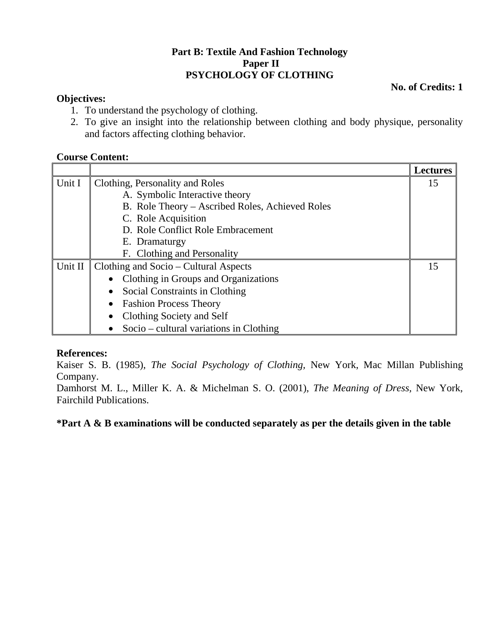## **Part B: Textile And Fashion Technology Paper II PSYCHOLOGY OF CLOTHING**

**No. of Credits: 1** 

## **Objectives:**

- 1. To understand the psychology of clothing.
- 2. To give an insight into the relationship between clothing and body physique, personality and factors affecting clothing behavior.

## **Course Content:**

|         |                                                 | <b>Lectures</b> |  |
|---------|-------------------------------------------------|-----------------|--|
| Unit I  | Clothing, Personality and Roles                 | 15              |  |
|         | A. Symbolic Interactive theory                  |                 |  |
|         | B. Role Theory - Ascribed Roles, Achieved Roles |                 |  |
|         | C. Role Acquisition                             |                 |  |
|         | D. Role Conflict Role Embracement               |                 |  |
|         | E. Dramaturgy                                   |                 |  |
|         | F. Clothing and Personality                     |                 |  |
| Unit II | Clothing and Socio – Cultural Aspects           |                 |  |
|         | Clothing in Groups and Organizations            |                 |  |
|         | Social Constraints in Clothing<br>$\bullet$     |                 |  |
|         | <b>Fashion Process Theory</b><br>$\bullet$      |                 |  |
|         | Clothing Society and Self                       |                 |  |
|         | Socio – cultural variations in Clothing         |                 |  |

## **References:**

Kaiser S. B. (1985), *The Social Psychology of Clothing,* New York, Mac Millan Publishing Company.

Damhorst M. L., Miller K. A. & Michelman S. O. (2001), *The Meaning of Dress,* New York, Fairchild Publications.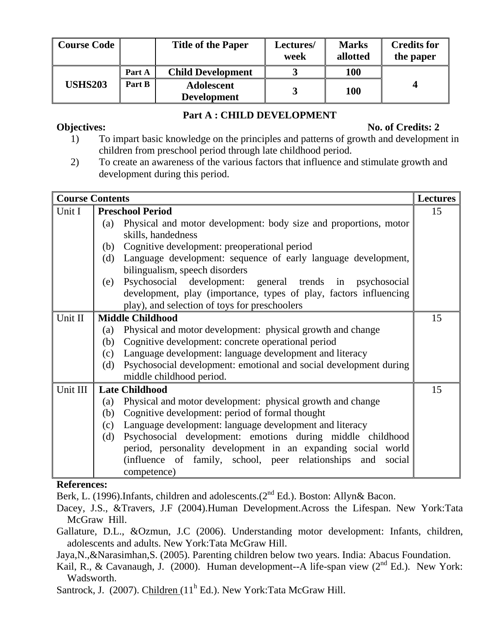| Course Code    |        | <b>Title of the Paper</b>        | Lectures/<br>week | <b>Marks</b><br>allotted | <b>Credits for</b><br>the paper |
|----------------|--------|----------------------------------|-------------------|--------------------------|---------------------------------|
|                | Part A | <b>Child Development</b>         |                   | <b>100</b>               |                                 |
| <b>USHS203</b> | Part B | Adolescent<br><b>Development</b> |                   | <b>100</b>               |                                 |

## **Part A : CHILD DEVELOPMENT**

### **Objectives:** No. of Credits: 2

- 1) To impart basic knowledge on the principles and patterns of growth and development in children from preschool period through late childhood period.
- 2) To create an awareness of the various factors that influence and stimulate growth and development during this period.

| <b>Course Contents</b>        |     |                                                                    | <b>Lectures</b> |
|-------------------------------|-----|--------------------------------------------------------------------|-----------------|
| Unit I                        |     | <b>Preschool Period</b>                                            | 15              |
|                               | (a) | Physical and motor development: body size and proportions, motor   |                 |
|                               |     | skills, handedness                                                 |                 |
|                               | (b) | Cognitive development: preoperational period                       |                 |
|                               | (d) | Language development: sequence of early language development,      |                 |
|                               |     | bilingualism, speech disorders                                     |                 |
|                               | (e) | Psychosocial development: general trends in psychosocial           |                 |
|                               |     | development, play (importance, types of play, factors influencing  |                 |
|                               |     | play), and selection of toys for preschoolers                      |                 |
| Unit II                       |     | <b>Middle Childhood</b>                                            | 15              |
|                               | (a) | Physical and motor development: physical growth and change         |                 |
|                               | (b) | Cognitive development: concrete operational period                 |                 |
|                               | (c) | Language development: language development and literacy            |                 |
|                               | (d) | Psychosocial development: emotional and social development during  |                 |
|                               |     | middle childhood period.                                           |                 |
| Unit III                      |     | <b>Late Childhood</b>                                              | 15              |
|                               | (a) | Physical and motor development: physical growth and change         |                 |
|                               | (b) | Cognitive development: period of formal thought                    |                 |
|                               | (c) | Language development: language development and literacy            |                 |
|                               | (d) | Psychosocial development: emotions during middle childhood         |                 |
|                               |     | period, personality development in an expanding social world       |                 |
|                               |     | (influence of family, school, peer relationships)<br>social<br>and |                 |
|                               |     | competence)                                                        |                 |
| $\mathbf{D} \cdot \mathbf{c}$ |     |                                                                    |                 |

## **References:**

Berk, L. (1996). Infants, children and adolescents. (2<sup>nd</sup> Ed.). Boston: Allyn& Bacon.

- Dacey, J.S., &Travers, J.F (2004).Human Development.Across the Lifespan. New York:Tata McGraw Hill.
- Gallature, D.L., &Ozmun, J.C (2006). Understanding motor development: Infants, children, adolescents and adults. New York:Tata McGraw Hill.
- Jaya,N.,&Narasimhan,S. (2005). Parenting children below two years. India: Abacus Foundation.
- Kail, R., & Cavanaugh, J. (2000). Human development--A life-span view (2<sup>nd</sup> Ed.). New York: Wadsworth.
- Santrock, J. (2007). Children (11<sup>h</sup> Ed.). New York:Tata McGraw Hill.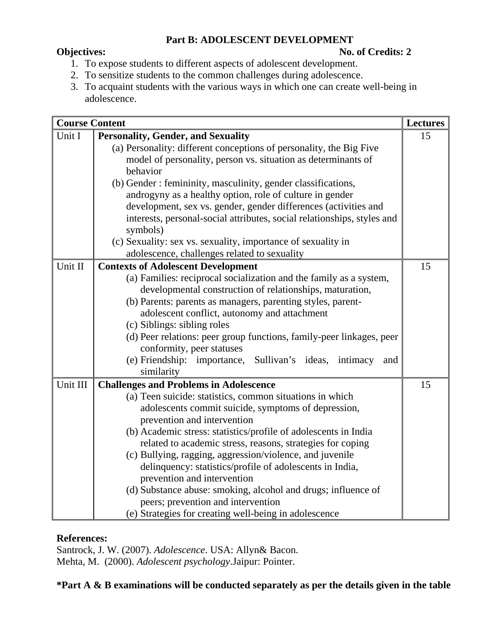## **Part B: ADOLESCENT DEVELOPMENT**

## **Objectives:** No. of Credits: 2

- 1. To expose students to different aspects of adolescent development.
- 2. To sensitize students to the common challenges during adolescence.
- 3. To acquaint students with the various ways in which one can create well-being in adolescence.

| <b>Course Content</b> |                                                                                                   | <b>Lectures</b> |
|-----------------------|---------------------------------------------------------------------------------------------------|-----------------|
| Unit I                | <b>Personality, Gender, and Sexuality</b>                                                         | 15              |
|                       | (a) Personality: different conceptions of personality, the Big Five                               |                 |
|                       | model of personality, person vs. situation as determinants of                                     |                 |
|                       | behavior                                                                                          |                 |
|                       | (b) Gender : femininity, masculinity, gender classifications,                                     |                 |
|                       | androgyny as a healthy option, role of culture in gender                                          |                 |
|                       | development, sex vs. gender, gender differences (activities and                                   |                 |
|                       | interests, personal-social attributes, social relationships, styles and                           |                 |
|                       | symbols)                                                                                          |                 |
|                       | (c) Sexuality: sex vs. sexuality, importance of sexuality in                                      |                 |
|                       | adolescence, challenges related to sexuality                                                      |                 |
| Unit II               | <b>Contexts of Adolescent Development</b>                                                         | 15              |
|                       | (a) Families: reciprocal socialization and the family as a system,                                |                 |
|                       | developmental construction of relationships, maturation,                                          |                 |
|                       | (b) Parents: parents as managers, parenting styles, parent-                                       |                 |
|                       | adolescent conflict, autonomy and attachment                                                      |                 |
|                       | (c) Siblings: sibling roles                                                                       |                 |
|                       | (d) Peer relations: peer group functions, family-peer linkages, peer<br>conformity, peer statuses |                 |
|                       | (e) Friendship:<br>Sullivan's ideas, intimacy<br>importance,<br>and                               |                 |
|                       | similarity                                                                                        |                 |
| Unit III              | <b>Challenges and Problems in Adolescence</b>                                                     | 15              |
|                       | (a) Teen suicide: statistics, common situations in which                                          |                 |
|                       | adolescents commit suicide, symptoms of depression,                                               |                 |
|                       | prevention and intervention                                                                       |                 |
|                       | (b) Academic stress: statistics/profile of adolescents in India                                   |                 |
|                       | related to academic stress, reasons, strategies for coping                                        |                 |
|                       | (c) Bullying, ragging, aggression/violence, and juvenile                                          |                 |
|                       | delinquency: statistics/profile of adolescents in India,                                          |                 |
|                       | prevention and intervention                                                                       |                 |
|                       | (d) Substance abuse: smoking, alcohol and drugs; influence of                                     |                 |
|                       | peers; prevention and intervention                                                                |                 |
|                       | (e) Strategies for creating well-being in adolescence                                             |                 |

#### **References:**

Santrock, J. W. (2007). *Adolescence*. USA: Allyn& Bacon. Mehta, M. (2000). *Adolescent psychology*.Jaipur: Pointer.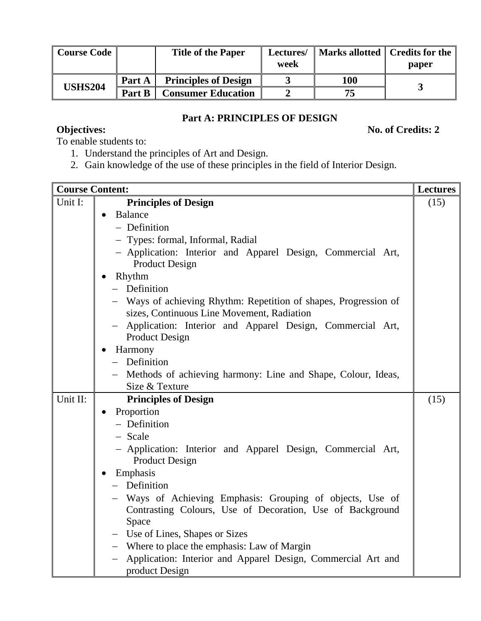| <b>Course Code</b> |        | <b>Title of the Paper</b>   | Lectures/<br>week |     | Marks allotted   Credits for the<br>paper |
|--------------------|--------|-----------------------------|-------------------|-----|-------------------------------------------|
| <b>USHS204</b>     | Part A | <b>Principles of Design</b> |                   | 100 |                                           |
|                    | Part B | <b>Consumer Education</b>   |                   | 75. |                                           |

## **Part A: PRINCIPLES OF DESIGN**

**Objectives:** No. of Credits: 2

To enable students to:

- 1. Understand the principles of Art and Design.
- 2. Gain knowledge of the use of these principles in the field of Interior Design.

| <b>Course Content:</b> |                                                                                                                | <b>Lectures</b> |
|------------------------|----------------------------------------------------------------------------------------------------------------|-----------------|
| Unit I:                | <b>Principles of Design</b>                                                                                    | (15)            |
|                        | <b>Balance</b><br>$\bullet$                                                                                    |                 |
|                        | - Definition                                                                                                   |                 |
|                        | - Types: formal, Informal, Radial                                                                              |                 |
|                        | - Application: Interior and Apparel Design, Commercial Art,<br><b>Product Design</b>                           |                 |
|                        | Rhythm                                                                                                         |                 |
|                        | - Definition                                                                                                   |                 |
|                        | - Ways of achieving Rhythm: Repetition of shapes, Progression of<br>sizes, Continuous Line Movement, Radiation |                 |
|                        | Application: Interior and Apparel Design, Commercial Art,<br>$\overline{\phantom{0}}$<br><b>Product Design</b> |                 |
|                        | Harmony                                                                                                        |                 |
|                        | - Definition                                                                                                   |                 |
|                        | - Methods of achieving harmony: Line and Shape, Colour, Ideas,                                                 |                 |
|                        | Size & Texture                                                                                                 |                 |
| Unit II:               | <b>Principles of Design</b>                                                                                    | (15)            |
|                        | Proportion<br>$\bullet$                                                                                        |                 |
|                        | - Definition                                                                                                   |                 |
|                        | - Scale                                                                                                        |                 |
|                        | - Application: Interior and Apparel Design, Commercial Art,<br><b>Product Design</b>                           |                 |
|                        | Emphasis                                                                                                       |                 |
|                        | - Definition                                                                                                   |                 |
|                        | - Ways of Achieving Emphasis: Grouping of objects, Use of                                                      |                 |
|                        | Contrasting Colours, Use of Decoration, Use of Background                                                      |                 |
|                        | Space                                                                                                          |                 |
|                        | - Use of Lines, Shapes or Sizes                                                                                |                 |
|                        | - Where to place the emphasis: Law of Margin                                                                   |                 |
|                        | Application: Interior and Apparel Design, Commercial Art and                                                   |                 |
|                        | product Design                                                                                                 |                 |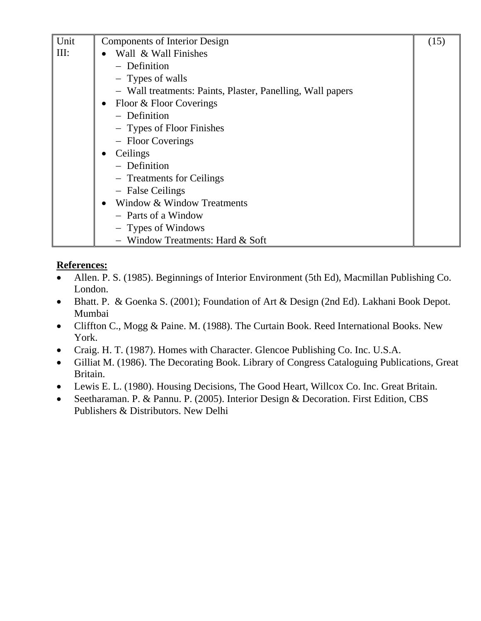| Unit | <b>Components of Interior Design</b>                       | (15) |
|------|------------------------------------------------------------|------|
| III: | Wall & Wall Finishes                                       |      |
|      | - Definition                                               |      |
|      | - Types of walls                                           |      |
|      | - Wall treatments: Paints, Plaster, Panelling, Wall papers |      |
|      | Floor & Floor Coverings<br>$\bullet$                       |      |
|      | - Definition                                               |      |
|      | - Types of Floor Finishes                                  |      |
|      | - Floor Coverings                                          |      |
|      | Ceilings<br>$\bullet$                                      |      |
|      | - Definition                                               |      |
|      | - Treatments for Ceilings                                  |      |
|      | - False Ceilings                                           |      |
|      | Window & Window Treatments<br>$\bullet$                    |      |
|      | - Parts of a Window                                        |      |
|      | - Types of Windows                                         |      |
|      | Window Treatments: Hard & Soft                             |      |

## **References:**

- Allen. P. S. (1985). Beginnings of Interior Environment (5th Ed), Macmillan Publishing Co. London.
- Bhatt. P. & Goenka S. (2001); Foundation of Art & Design (2nd Ed). Lakhani Book Depot. Mumbai
- Cliffton C., Mogg & Paine. M. (1988). The Curtain Book. Reed International Books. New York.
- Craig. H. T. (1987). Homes with Character. Glencoe Publishing Co. Inc. U.S.A.
- Gilliat M. (1986). The Decorating Book. Library of Congress Cataloguing Publications, Great Britain.
- Lewis E. L. (1980). Housing Decisions, The Good Heart, Willcox Co. Inc. Great Britain.
- Seetharaman. P. & Pannu. P. (2005). Interior Design & Decoration. First Edition, CBS Publishers & Distributors. New Delhi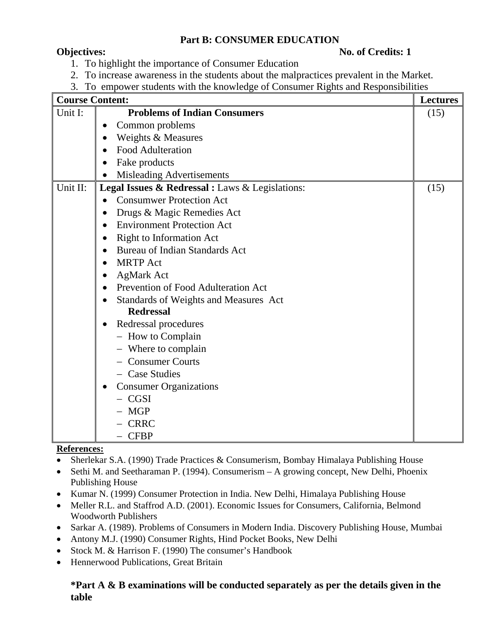## **Part B: CONSUMER EDUCATION**

### **Objectives:** No. of Credits: 1

- 1. To highlight the importance of Consumer Education
- 2. To increase awareness in the students about the malpractices prevalent in the Market.
- 3. To empower students with the knowledge of Consumer Rights and Responsibilities

| <b>Course Content:</b> | 10 cmpower statemes when the Knowledge<br>$\mathbf{v}$ of Companion $\mathbf{m}$ | <b>Lectures</b> |
|------------------------|----------------------------------------------------------------------------------|-----------------|
| Unit I:                | <b>Problems of Indian Consumers</b>                                              | (15)            |
|                        | Common problems<br>$\bullet$                                                     |                 |
|                        | Weights & Measures                                                               |                 |
|                        | <b>Food Adulteration</b><br>$\bullet$                                            |                 |
|                        | Fake products                                                                    |                 |
|                        | Misleading Advertisements<br>$\bullet$                                           |                 |
| Unit II:               | Legal Issues & Redressal : Laws & Legislations:                                  | (15)            |
|                        | <b>Consumwer Protection Act</b>                                                  |                 |
|                        | Drugs & Magic Remedies Act<br>$\bullet$                                          |                 |
|                        | <b>Environment Protection Act</b><br>$\bullet$                                   |                 |
|                        | <b>Right to Information Act</b><br>$\bullet$                                     |                 |
|                        | <b>Bureau of Indian Standards Act</b><br>$\bullet$                               |                 |
|                        | <b>MRTP</b> Act<br>$\bullet$                                                     |                 |
|                        | <b>AgMark Act</b><br>$\bullet$                                                   |                 |
|                        | Prevention of Food Adulteration Act<br>$\bullet$                                 |                 |
|                        | Standards of Weights and Measures Act<br>$\bullet$                               |                 |
|                        | <b>Redressal</b>                                                                 |                 |
|                        | Redressal procedures                                                             |                 |
|                        | - How to Complain                                                                |                 |
|                        | - Where to complain                                                              |                 |
|                        | - Consumer Courts                                                                |                 |
|                        | - Case Studies                                                                   |                 |
|                        | <b>Consumer Organizations</b><br>$\bullet$                                       |                 |
|                        | - CGSI                                                                           |                 |
|                        | $- MGP$                                                                          |                 |
|                        | <b>CRRC</b>                                                                      |                 |
|                        | <b>CFBP</b>                                                                      |                 |

#### **References:**

- Sherlekar S.A. (1990) Trade Practices & Consumerism, Bombay Himalaya Publishing House
- Sethi M. and Seetharaman P. (1994). Consumerism A growing concept, New Delhi, Phoenix Publishing House
- Kumar N. (1999) Consumer Protection in India. New Delhi, Himalaya Publishing House
- Meller R.L. and Staffrod A.D. (2001). Economic Issues for Consumers, California, Belmond Woodworth Publishers
- Sarkar A. (1989). Problems of Consumers in Modern India. Discovery Publishing House, Mumbai
- Antony M.J. (1990) Consumer Rights, Hind Pocket Books, New Delhi
- Stock M. & Harrison F. (1990) The consumer's Handbook
- Hennerwood Publications, Great Britain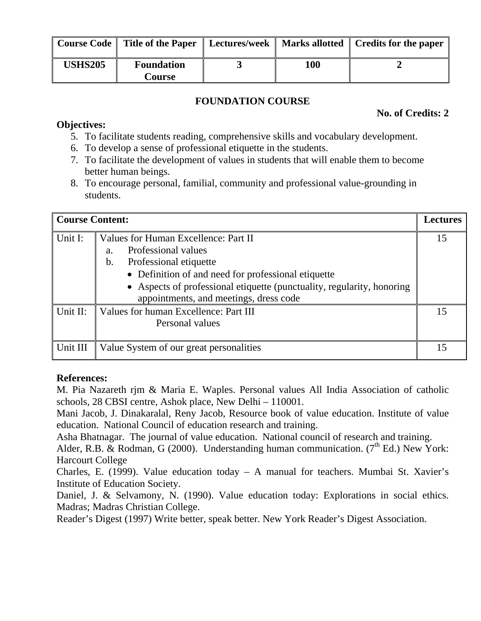|                | Course Code   Title of the Paper | Lectures/week |     | Marks allotted   Credits for the paper |
|----------------|----------------------------------|---------------|-----|----------------------------------------|
| <b>USHS205</b> | <b>Foundation</b><br>Course      |               | 100 |                                        |

## **FOUNDATION COURSE**

## **No. of Credits: 2**

## **Objectives:**

- 5. To facilitate students reading, comprehensive skills and vocabulary development.
- 6. To develop a sense of professional etiquette in the students.
- 7. To facilitate the development of values in students that will enable them to become better human beings.
- 8. To encourage personal, familial, community and professional value-grounding in students.

| <b>Course Content:</b> |                                                                                                                                                                                                                                                                              | <b>Lectures</b> |
|------------------------|------------------------------------------------------------------------------------------------------------------------------------------------------------------------------------------------------------------------------------------------------------------------------|-----------------|
| Unit I:                | Values for Human Excellence: Part II<br>Professional values<br>a.<br>b.<br>Professional etiquette<br>• Definition of and need for professional etiquette<br>• Aspects of professional etiquette (punctuality, regularity, honoring<br>appointments, and meetings, dress code | 15              |
| Unit II:               | Values for human Excellence: Part III<br>Personal values                                                                                                                                                                                                                     | 15              |
| Unit III               | Value System of our great personalities                                                                                                                                                                                                                                      | 15              |

## **References:**

M. Pia Nazareth rjm & Maria E. Waples. Personal values All India Association of catholic schools, 28 CBSI centre, Ashok place, New Delhi – 110001.

Mani Jacob, J. Dinakaralal, Reny Jacob, Resource book of value education. Institute of value education. National Council of education research and training.

Asha Bhatnagar. The journal of value education. National council of research and training.

Alder, R.B. & Rodman, G (2000). Understanding human communication. ( $7<sup>th</sup>$  Ed.) New York: Harcourt College

Charles, E. (1999). Value education today – A manual for teachers. Mumbai St. Xavier's Institute of Education Society.

Daniel, J. & Selvamony, N. (1990). Value education today: Explorations in social ethics. Madras; Madras Christian College.

Reader's Digest (1997) Write better, speak better. New York Reader's Digest Association.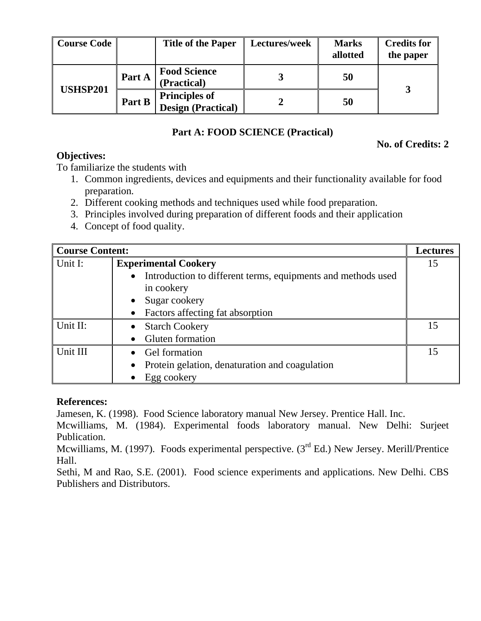| <b>Course Code</b> |        | <b>Title of the Paper</b>                   | Lectures/week | <b>Marks</b><br>allotted | <b>Credits for</b><br>the paper |
|--------------------|--------|---------------------------------------------|---------------|--------------------------|---------------------------------|
| <b>USHSP201</b>    | Part A | <b>Food Science</b><br>(Practical)          |               | 50                       |                                 |
|                    | Part B | <b>Principles of<br/>Design (Practical)</b> |               | 50                       |                                 |

## **Part A: FOOD SCIENCE (Practical)**

## **No. of Credits: 2**

**Objectives:** 

To familiarize the students with

- 1. Common ingredients, devices and equipments and their functionality available for food preparation.
- 2. Different cooking methods and techniques used while food preparation.
- 3. Principles involved during preparation of different foods and their application
- 4. Concept of food quality.

| <b>Course Content:</b> |                                                                           |    |  |  |
|------------------------|---------------------------------------------------------------------------|----|--|--|
| Unit I:                | <b>Experimental Cookery</b>                                               |    |  |  |
|                        | Introduction to different terms, equipments and methods used<br>$\bullet$ |    |  |  |
|                        | in cookery                                                                |    |  |  |
|                        | Sugar cookery                                                             |    |  |  |
|                        | • Factors affecting fat absorption                                        |    |  |  |
| Unit II:               | • Starch Cookery                                                          | 15 |  |  |
|                        | • Gluten formation                                                        |    |  |  |
| Unit III               | • Gel formation                                                           | 15 |  |  |
|                        | Protein gelation, denaturation and coagulation                            |    |  |  |
|                        | Egg cookery                                                               |    |  |  |

#### **References:**

Jamesen, K. (1998). Food Science laboratory manual New Jersey. Prentice Hall. Inc.

Mcwilliams, M. (1984). Experimental foods laboratory manual. New Delhi: Surjeet Publication.

Mcwilliams, M. (1997). Foods experimental perspective.  $(3<sup>rd</sup> Ed.)$  New Jersey. Merill/Prentice Hall.

Sethi, M and Rao, S.E. (2001). Food science experiments and applications. New Delhi. CBS Publishers and Distributors.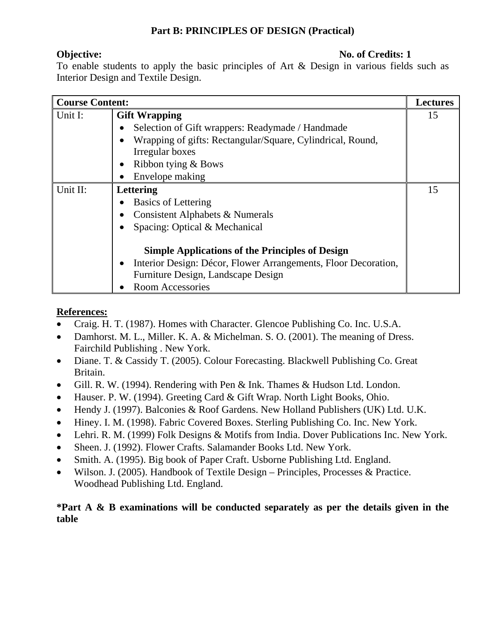## **Part B: PRINCIPLES OF DESIGN (Practical)**

**Objective:** No. of Credits: 1

To enable students to apply the basic principles of Art & Design in various fields such as Interior Design and Textile Design.

| <b>Course Content:</b> |                                                                             |    |
|------------------------|-----------------------------------------------------------------------------|----|
| Unit I:                | <b>Gift Wrapping</b>                                                        | 15 |
|                        | Selection of Gift wrappers: Readymade / Handmade<br>$\bullet$               |    |
|                        | Wrapping of gifts: Rectangular/Square, Cylindrical, Round,<br>$\bullet$     |    |
|                        | Irregular boxes                                                             |    |
|                        | Ribbon tying & Bows<br>$\bullet$                                            |    |
|                        | Envelope making<br>$\bullet$                                                |    |
| Unit II:               | Lettering                                                                   | 15 |
|                        | <b>Basics of Lettering</b><br>$\bullet$                                     |    |
|                        | Consistent Alphabets & Numerals<br>$\bullet$                                |    |
|                        | Spacing: Optical & Mechanical<br>$\bullet$                                  |    |
|                        | <b>Simple Applications of the Principles of Design</b>                      |    |
|                        | Interior Design: Décor, Flower Arrangements, Floor Decoration,<br>$\bullet$ |    |
|                        | Furniture Design, Landscape Design                                          |    |
|                        | <b>Room Accessories</b><br>$\bullet$                                        |    |

## **References:**

- Craig. H. T. (1987). Homes with Character. Glencoe Publishing Co. Inc. U.S.A.
- Damhorst. M. L., Miller. K. A. & Michelman. S. O. (2001). The meaning of Dress. Fairchild Publishing . New York.
- Diane. T. & Cassidy T. (2005). Colour Forecasting. Blackwell Publishing Co. Great Britain.
- Gill. R. W. (1994). Rendering with Pen & Ink. Thames & Hudson Ltd. London.
- Hauser. P. W. (1994). Greeting Card & Gift Wrap. North Light Books, Ohio.
- Hendy J. (1997). Balconies & Roof Gardens. New Holland Publishers (UK) Ltd. U.K.
- Hiney. I. M. (1998). Fabric Covered Boxes. Sterling Publishing Co. Inc. New York.
- Lehri. R. M. (1999) Folk Designs & Motifs from India. Dover Publications Inc. New York.
- Sheen. J. (1992). Flower Crafts. Salamander Books Ltd. New York.
- Smith. A. (1995). Big book of Paper Craft. Usborne Publishing Ltd. England.
- Wilson. J. (2005). Handbook of Textile Design Principles, Processes & Practice. Woodhead Publishing Ltd. England.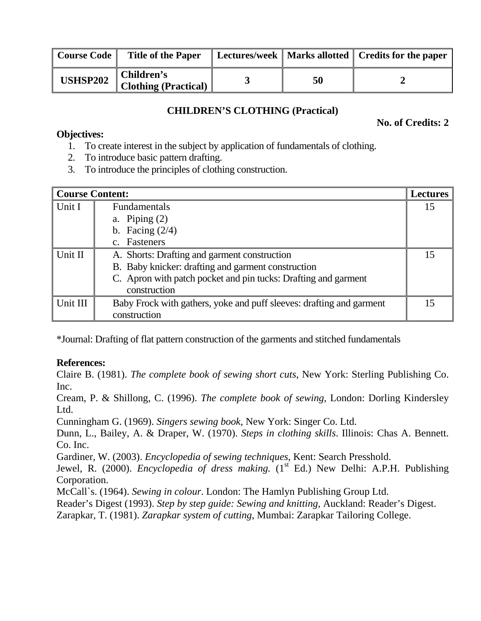| Course Code     | <b>Title of the Paper</b>                 |    | Lectures/week   Marks allotted   Credits for the paper |
|-----------------|-------------------------------------------|----|--------------------------------------------------------|
| <b>USHSP202</b> | Children's<br><b>Clothing (Practical)</b> | 50 |                                                        |

## **CHILDREN'S CLOTHING (Practical)**

**No. of Credits: 2** 

### **Objectives:**

- 1. To create interest in the subject by application of fundamentals of clothing.
- 2. To introduce basic pattern drafting.
- 3. To introduce the principles of clothing construction.

| <b>Course Content:</b> |                                                                      | <b>Lectures</b> |
|------------------------|----------------------------------------------------------------------|-----------------|
| Unit I                 | <b>Fundamentals</b>                                                  | 15              |
|                        | a. Piping $(2)$                                                      |                 |
|                        | b. Facing $(2/4)$                                                    |                 |
|                        | c. Fasteners                                                         |                 |
| Unit II                | A. Shorts: Drafting and garment construction                         | 15              |
|                        | B. Baby knicker: drafting and garment construction                   |                 |
|                        | C. Apron with patch pocket and pin tucks: Drafting and garment       |                 |
|                        | construction                                                         |                 |
| Unit III               | Baby Frock with gathers, yoke and puff sleeves: drafting and garment | 15              |
|                        | construction                                                         |                 |

\*Journal: Drafting of flat pattern construction of the garments and stitched fundamentals

## **References:**

Claire B. (1981). *The complete book of sewing short cuts*, New York: Sterling Publishing Co. Inc.

Cream, P. & Shillong, C. (1996). *The complete book of sewing*, London: Dorling Kindersley Ltd.

Cunningham G. (1969). *Singers sewing book*, New York: Singer Co. Ltd.

Dunn, L., Bailey, A. & Draper, W. (1970). *Steps in clothing skills*. Illinois: Chas A. Bennett. Co. Inc.

Gardiner, W. (2003). *Encyclopedia of sewing techniques*, Kent: Search Presshold.

Jewel, R. (2000). *Encyclopedia of dress making.* (1<sup>st</sup> Ed.) New Delhi: A.P.H. Publishing Corporation.

McCall`s. (1964). *Sewing in colour*. London: The Hamlyn Publishing Group Ltd.

Reader's Digest (1993). *Step by step guide: Sewing and knitting*, Auckland: Reader's Digest.

Zarapkar, T. (1981). *Zarapkar system of cutting*, Mumbai: Zarapkar Tailoring College.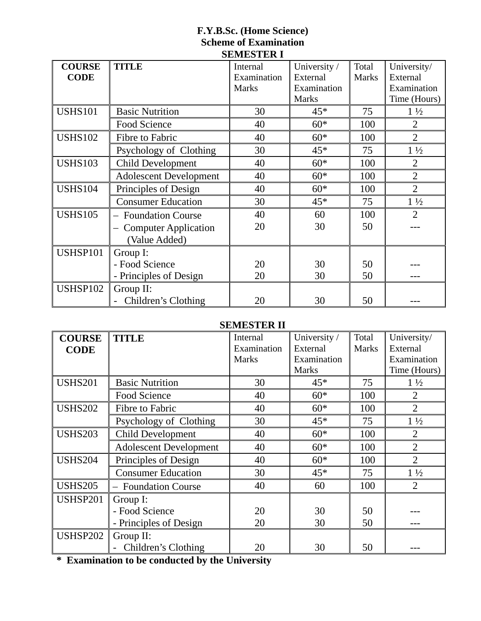### **F.Y.B.Sc. (Home Science) Scheme of Examination SEMESTER I**

| <b>COURSE</b>   | <b>TITLE</b>                                         | Internal     | University / | Total        | University/    |
|-----------------|------------------------------------------------------|--------------|--------------|--------------|----------------|
| <b>CODE</b>     |                                                      | Examination  | External     | <b>Marks</b> | External       |
|                 |                                                      | <b>Marks</b> | Examination  |              | Examination    |
|                 |                                                      |              | <b>Marks</b> |              | Time (Hours)   |
| <b>USHS101</b>  | <b>Basic Nutrition</b>                               | 30           | $45*$        | 75           | $1\frac{1}{2}$ |
|                 | Food Science                                         | 40           | $60*$        | 100          | $\overline{2}$ |
| <b>USHS102</b>  | Fibre to Fabric                                      | 40           | $60*$        | 100          | $\overline{2}$ |
|                 | Psychology of Clothing                               | 30           | $45*$        | 75           | $1\frac{1}{2}$ |
| <b>USHS103</b>  | <b>Child Development</b>                             | 40           | $60*$        | 100          | $\overline{2}$ |
|                 | <b>Adolescent Development</b>                        | 40           | $60*$        | 100          | $\overline{2}$ |
| <b>USHS104</b>  | Principles of Design                                 | 40           | $60*$        | 100          | $\overline{2}$ |
|                 | <b>Consumer Education</b>                            | 30           | $45*$        | 75           | $1\frac{1}{2}$ |
| <b>USHS105</b>  | <b>Foundation Course</b><br>$\overline{\phantom{0}}$ | 40           | 60           | 100          | $\overline{2}$ |
|                 | <b>Computer Application</b>                          | 20           | 30           | 50           |                |
|                 | (Value Added)                                        |              |              |              |                |
| USHSP101        | Group I:                                             |              |              |              |                |
|                 | - Food Science                                       | 20           | 30           | 50           |                |
|                 | - Principles of Design                               | 20           | 30           | 50           |                |
| <b>USHSP102</b> | Group II:                                            |              |              |              |                |
|                 | Children's Clothing                                  | 20           | 30           | 50           |                |

## **SEMESTER II**

| <b>COURSE</b><br><b>CODE</b> | <b>TITLE</b>                  | Internal<br>Examination | University /<br>External | Total<br><b>Marks</b> | University/<br>External |
|------------------------------|-------------------------------|-------------------------|--------------------------|-----------------------|-------------------------|
|                              |                               | <b>Marks</b>            | Examination              |                       | Examination             |
|                              |                               |                         | <b>Marks</b>             |                       | Time (Hours)            |
| <b>USHS201</b>               | <b>Basic Nutrition</b>        | 30                      | $45*$                    | 75                    | $1\frac{1}{2}$          |
|                              | Food Science                  | 40                      | $60*$                    | 100                   | $\overline{2}$          |
| <b>USHS202</b>               | Fibre to Fabric               | 40                      | $60*$                    | 100                   | $\overline{2}$          |
|                              | Psychology of Clothing        | 30                      | $45*$                    | 75                    | $1\frac{1}{2}$          |
| <b>USHS203</b>               | <b>Child Development</b>      | 40                      | $60*$                    | 100                   | $\overline{2}$          |
|                              | <b>Adolescent Development</b> | 40                      | $60*$                    | 100                   | $\overline{2}$          |
| <b>USHS204</b>               | Principles of Design          | 40                      | $60*$                    | 100                   | $\overline{2}$          |
|                              | <b>Consumer Education</b>     | 30                      | $45*$                    | 75                    | $1\frac{1}{2}$          |
| <b>USHS205</b>               | - Foundation Course           | 40                      | 60                       | 100                   | $\overline{2}$          |
| <b>USHSP201</b>              | Group I:                      |                         |                          |                       |                         |
|                              | - Food Science                | 20                      | 30                       | 50                    |                         |
|                              | - Principles of Design        | 20                      | 30                       | 50                    |                         |
| <b>USHSP202</b>              | Group II:                     |                         |                          |                       |                         |
|                              | Children's Clothing           | 20                      | 30                       | 50                    |                         |

**\* Examination to be conducted by the University**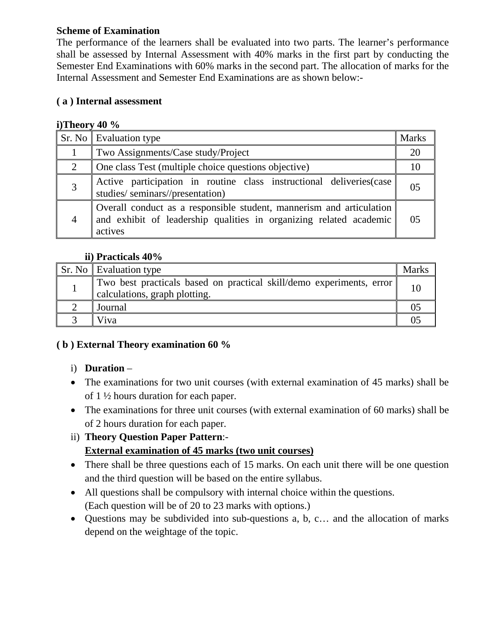## **Scheme of Examination**

The performance of the learners shall be evaluated into two parts. The learner's performance shall be assessed by Internal Assessment with 40% marks in the first part by conducting the Semester End Examinations with 60% marks in the second part. The allocation of marks for the Internal Assessment and Semester End Examinations are as shown below:-

## **( a ) Internal assessment**

## **i)Theory 40 %**

|                | <b>Sr.</b> No Evaluation type                                                                                                                         | <b>Marks</b>   |
|----------------|-------------------------------------------------------------------------------------------------------------------------------------------------------|----------------|
|                | Two Assignments/Case study/Project                                                                                                                    | 20             |
| 2              | One class Test (multiple choice questions objective)                                                                                                  | 10             |
| 3              | Active participation in routine class instructional deliveries (case<br>studies/seminars//presentation)                                               | 05             |
| $\overline{4}$ | Overall conduct as a responsible student, mannerism and articulation<br>and exhibit of leadership qualities in organizing related academic<br>actives | 0 <sub>5</sub> |

## **ii) Practicals 40%**

| Sr. No Evaluation type                                                                                |  |
|-------------------------------------------------------------------------------------------------------|--|
| Two best practicals based on practical skill/demo experiments, error<br>calculations, graph plotting. |  |
| Journal                                                                                               |  |
| Viva                                                                                                  |  |

## **( b ) External Theory examination 60 %**

## i) **Duration** –

- The examinations for two unit courses (with external examination of 45 marks) shall be of 1 ½ hours duration for each paper.
- The examinations for three unit courses (with external examination of 60 marks) shall be of 2 hours duration for each paper.

## ii) **Theory Question Paper Pattern**:- **External examination of 45 marks (two unit courses)**

- There shall be three questions each of 15 marks. On each unit there will be one question and the third question will be based on the entire syllabus.
- All questions shall be compulsory with internal choice within the questions. (Each question will be of 20 to 23 marks with options.)
- Questions may be subdivided into sub-questions a, b, c... and the allocation of marks depend on the weightage of the topic.